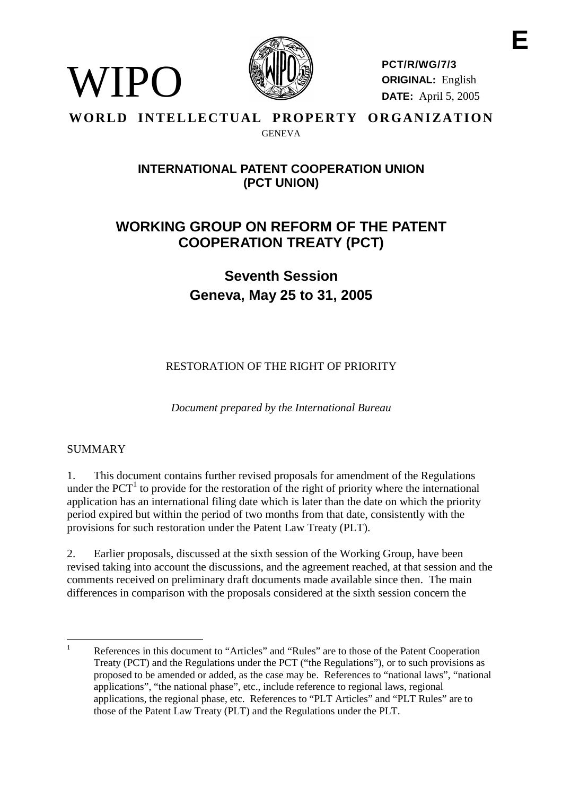

**PCT/R/WG/7/3 ORIGINAL:** English **DATE:** April 5, 2005

### **WORLD INTELLECTUAL PROPERTY ORGANIZATION GENEVA**

# **INTERNATIONALPATENT COOPERATIONUNION (PCT UNION)**

# **WORKING GROUP ON REF ORM OF THE PATENT COOPERATION TREATY ( PCT)**

**Seventh Session Geneva, Ma y 25 to 31, 2005**

RESTORATION OF THER IGHT OF PRIORITY

*Document prepared by the International Bureau*

## SUMMARY

WIPO

1. This document contains further revised proposals for amendment of the Regulations underthe PCT <sup>1</sup>to provide for the resto ration of the right of priority where the international application has an international filing date which is later than the date on which the priority period expired but within the period of two months from that date, consistently with the provisions for such restoration under the Patent Law Treaty (PLT).

2. Earlier proposals, discussed at the sixth session of the Working Group, have been revised taking into account the discussions, and the agreement reached, at that sessions and the he comments received on preliminary draft documents made available since then. The main differences in comparison with the proposals considered at the sixthsession concern the

References in this document to "Articles" and "Rules" are to those of the Patent Cooperation Treaty (PCT) and the Regulations under the PCT ("the Regulations"), or to such provisions as proposed to be amended or ad ded, as the case may be. References to "national laws", "national applications", "the national phase", etc., include reference to regional laws, regional applications, the regional phase, etc. References to "PLT Articles" and "PLT Rules" are to those of the Patent Law Treaty (PLT) and the Regulations under the PLT.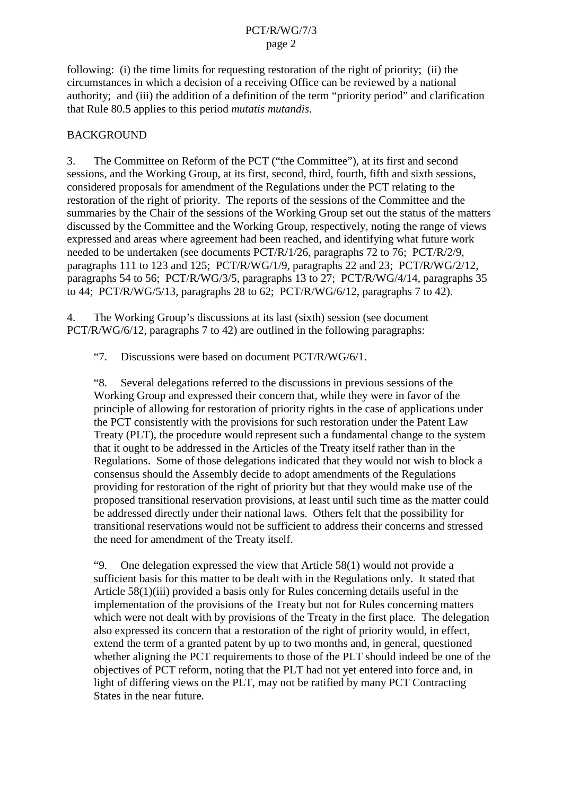$following:(i)$  the time limits for requesting restoration of the right of p riority; (ii) the circumstances in which a decision of a receiving Office can be reviewed by a national authority; and (iii) the addition of a definition of the term "priority period" and clarification that Rule 80.5 applies to this period *mutatis mutand is*.

### BACKGROUND

3. The Committee on Reform of the PCT ("the Committee"), at its first and second sessions, and the Working Group, at its first, second, third, fourth, fifth and sixth sessions, considered proposals for amendment of the Regulations under the PCT relating to the restoration of the right of priority. The reports of thesessions of the Committee and the summaries by the Chair of the sessions of the Working Group set out the status of the matters discussed by the Committ eeand the Working Group, respectively, noting the range of views expressed and areas where agreement had been reached, and identifying what future work needed to be undertaken (seed ocuments PCT/R/1/26, paragraphs 72 to 76; PCT/R/2/9, paragraphs 111 to 1 23 and 125; PCT/R/WG/1/9, paragraphs 22 and 23; PCT/R/WG/2/12, paragraphs 54 to 56; PCT/R/WG/3/5, paragraphs 13 to 27; PCT/R/WG/4/14, paragraphs 35  $\frac{1}{100}$  to 44; PCT/R/WG/5/13, paragraphs 28 to 62; PCT/R/WG/6/12, paragraphs  $\frac{7}{1042}$ .

4. The Working Group's discussions at its last (sixth) session (seed ocument PCT/R/WG/6/12, paragraphs 7to 42) are outlined in the following paragraphs:

"7. Discussions were based on document PCT/R/WG/6/1.

"8. Several delegations referred to the discu ssions in previous sessions of the Working Group and expressed their concern that, while they were infavor of the principle of allowing for restoration of priority rights in the case of applications under the PCT consistently with the provisions for such restoration under the Patent Law Treaty (PLT), the procedure would represent such a fundamental change to the system that it ought to be addressed in the Articles of the Treaty itself rather than in the Regulations. Some of those delegations indicated tha they would not wish to block a consensus should the Assembly decide to adopt amendments of the Regulations providing for restoration of the right of priority but that they would make use of the proposed transitional reservation provisions, at least until such time as the matter could be addressed directly under their national laws. Others felt that the possibility for transitional reservations would not be sufficient to address their concerns and stressed the need for amendment of the Treaty itself.

"9. One delegation expressed the view that Article 58(1) would not provide a sufficient basis for this matter to be dealt within the Regulations only. It stated that Article 58(1)(iii) provided a basis only for Rules concerning details useful in the implementation of the provisions of the Treaty but not for Rules concerning matters which were not dealt with by provisions of the Treat vin the first place. The delegation also expressed its concern that a restoration of the right of priority would, in effect, extend the term of a granted patent by up to two months and, in general, questioned whetheraligning the PCT requirements to those of the PLT should indeed be one of the objectives of PCT reform, noting that the PLT had not yet entered into force and, in light of differing views on the PLT, may not be ratified by many PCT Contracting States in the near future.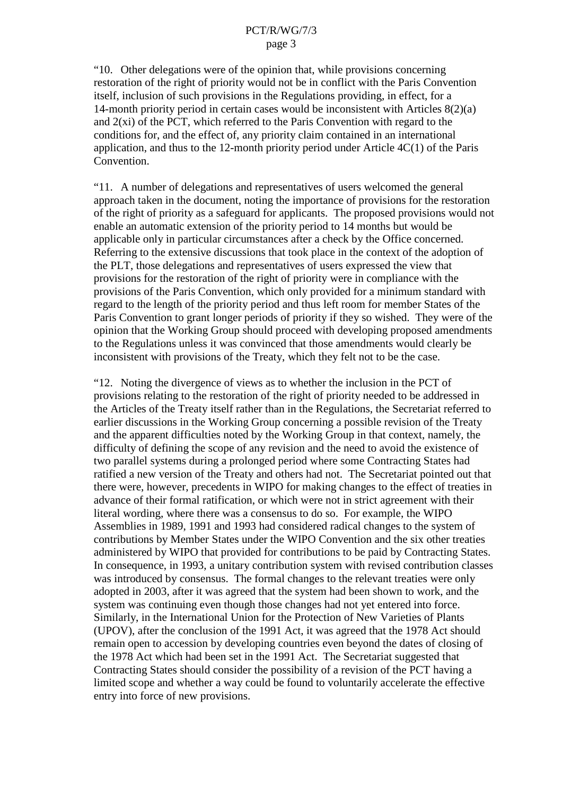"10. Other delegations were of the opinion that, while provisions concerning restoration of the right of priority would not be in conflict with the Paris Convention itself, inclusion of such provisions in the Regulations providing, in effect, for a 14-month priority period incertain cases would be inconsistent with Articles 8(2)(a)  $and 2(xi) of the PCT, which referred to the Paris Convention with  $reg-$  and  $z(i)$ .$ conditions for, and the effect of, any priority claim contained in an international application, and thus to the  $12$  -month priority period under Article  $4C(1)$  of the Paris Convention.

"11. Anumber of delegations and representatives of users wel comed the general approachtaken in the document, noting the importance of provisions for the restoration of the right of priority as a safeguard for applicants. The proposed provisions would not enable an automatic extension of the priority period to 14 months but would be applicable only in particular circumstances after a check by the Office concerned. Referring to the extensive discussions that took place in the context of the adoption of the PLT, those delegations and representatives of users express ed the view that provisions for the restoration of the right of priority were in compliance with the provisions of the Paris Convention, which only provided for a minimum standard with regard to the length of the priority period and thus left room for memb er States of the Paris Convention to grant longer periods of priority if they so wished. They were of the opinion that the Working Group should proceed with developing proposed amendments to the Regulations unless it was convinced that those amendments wo uld clearly be inconsistent with provisions of the Treaty, which they felt not to be the case.

"12. Noting the divergence of views as to whether the inclusion in the PCT of provisions relating to the restoration of the right of priority needed to be addre ssed in the Articles of the Treaty itself rather than in the Regulations, the Secretariat referred to earlier discussions in the Working Group concerning a possible revision of the Treaty and the apparent difficulties noted by the Working Group in that con text, namely, the difficulty of defining these ope of any revision and the need to avoid the existence of two parallel systems during a prolonged period where some Contracting States had ratified anew version of the Treaty and others had not. The Secreta riat pointed out that there were, however, precedents in WIPO for making changes to the effect of treaties in advance of their formal ratification, or which we renot in strict agreement with their literal wording, where there was a consensus to do so. For example, the WIPO Assemblies in 1989, 1991 and 1993 had considered radical changes to the system of contributions by Member States under the WIPO Convention and the six other treaties administered by WIPO that provided for contributions to be paid by Cont racting States. In consequence, in 1993, a unitary contributions y stem with revised contribution classes was introduced by consensus. The formal changes to the relevant treaties were only adopted in 2003, after it was agreed that the system had been show ntowork, and the system was continuing even though those changes had not yet entered into force. Similarly, in the International Union for the Protection of New Varieties of Plants (UPOV), after the conclusion of the 1991 Act, it was agreed that the 197 8 Act should remain open to accession by developing countries even beyond the dates of closing of the 1978 Act which had been set in the 1991 Act. The Secretariat suggested that Contracting States should consider the possibility of a revision of the PCTh aving a revision of the PCT h limited scope and whether a way could be found to voluntarily accelerate the effective entry into force of new provisions.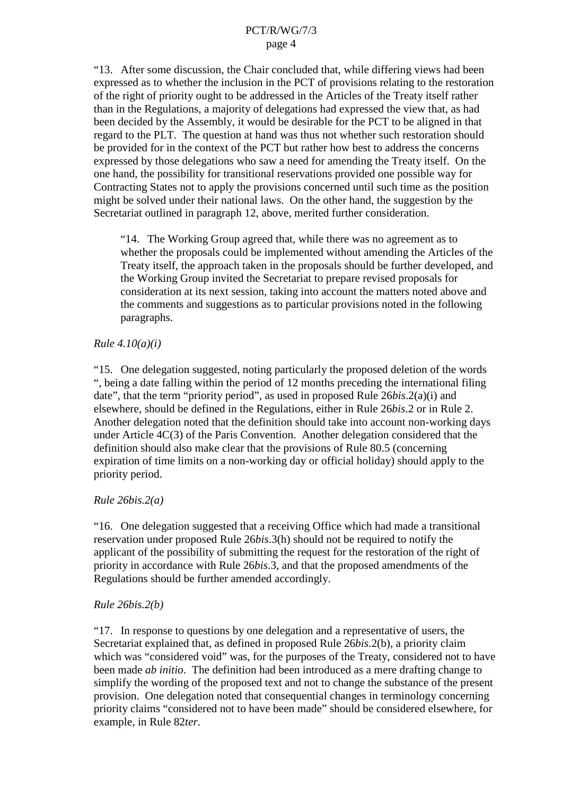"13. After some discussion, the Chair concluded that, while differing views had been expressed as to whether the inclusion i nthe PCT of provisions relating to the restoration of the right of priority ought to be addressed in the Articles of the Treaty itself rather than in the Regulations, a majority of delegations had expressed the view that, as had been decided by the Assemb ly, it would be desirable for the PCT to be aligned in that regard to the PLT. The question at hand was thus not whether such restorations hould be provided for in the context of the PCT but rather how best to address the concerns expressed by those deleg ations who saw a need for a mending the Treaty itself. On the one hand, the possibility for transitional reservations provided one possible way for Contracting States not to apply the provisions concerned until such time as the position might be solved und ertheir national laws. On the other hand, the suggestion by the Secretariat outlined in paragraph 12, above, merited further consideration.

"14. The Working Group agreed that, while the rewas no agreement as to whether the proposals could be implemented without amending the Articles of the Treaty itself, the approach taken in the proposals should be further developed, and the Working Group invited the Secretariat to prepare revised proposals for consideration at its next session, taking into account the matters noted above and the comments and suggestions as to particular provisions noted in the following paragraphs.

### *Rule 4.10(a)(i)*

"15. One delegation suggested, noting particularly the proposed deletion of the words ", being a date falling within the p eriod of 12 months preceding the international filing date", that the term "priority period", as used in proposed Rule 26*bis*.2(a)(i) and elsewhere, should be defined in the Regulations, either in Rule 26*bis*.2 or in Rule 2. Another delegation noted that the edefinition should take into account non -working days under Article 4C(3) of the Paris Convention. Another delegation considered that the definition should also make clear that the provisions of Rule 80.5 (concerning expiration of time limits on a non-working day or official holiday) should apply to the priority period.

### *Rule 26bis.2(a)*

"16. One delegation suggested that are ceiving Office which had made a transitional reservation under proposed Rule 26*bis*.3(h) should not be required to notify the applicant of the possibility of submitting the request for the restoration of the right of priority inaccordance with Rule 26bis. 3. and that the proposed amendments of the right of the restoration of the right of the righ 26*bis*.3, and that the proposed amendments of the Regulations should be further amended accordingly.

### *Rule 26bis.2(b)*

"17. In response to questions by one delegation and a representative of users, the Secretariatexplained that, as defined in proposed Rule 26 *bis.* 2(b), a priority claim which was "considered void" was, for the purposes of the Treaty, considered not to have been made *ab initio*. The definition had been introduced as a meredrafting change to simplify the wording of the proposed text and not to change the substance of the present provision. One delegation noted that consequential changes in terminology concerning priority claims "considered not to have been made" should be considered elsewhere, for example, in Rule 82*ter*.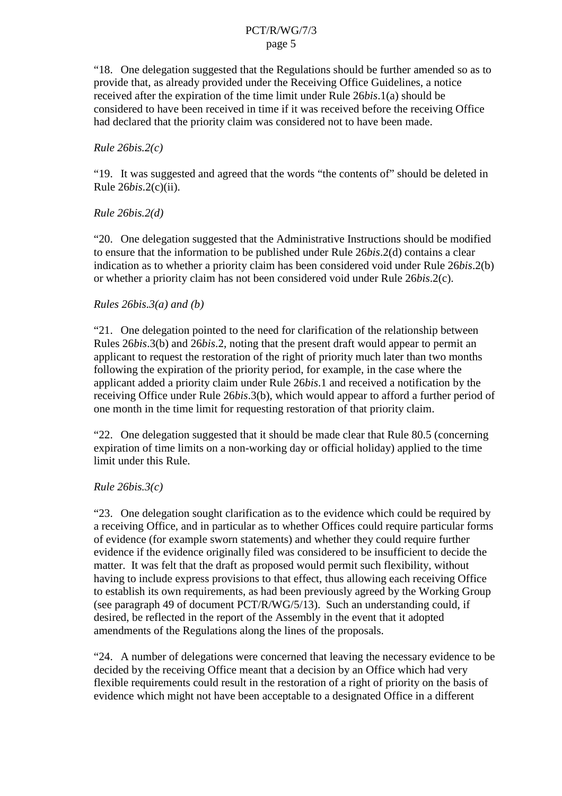"18. One delegation suggested that the Regulations should be further amended so as to provide that, as already provided under the Receiving Office Guidelines, a notice received after the expiration of the time limit under Rule 26*bis*.1(a) should be considered to have been received in time if it was received before the receiving Office had declared that the priority claim was considered not to have been made.

#### *Rule 26bis.2(c)*

"19. It was suggested and agreed that the words "the contents of "should be deleted in Rule 26*bis*.2(c)(ii).

### *Rule 26bis.2(d)*

"20. One delegation suggested that the Administrative Instructions should be modified to ensure that the information to be published under Rule 26*bis*.2(d) contains a clear indication as to whether a priority claim has been considered void under Rule 26*bis*.2(b) or whether a priority claim has not been considered void under Rule 26*bis*.2(c).

### *Rules 26bis.3(a) and (b)*

"21. One delegation pointed to the need for clarification of the relationship between Rules 26*bis*.3(b) and 26 *bis*.2, noting that the present draft would appear to permit an applicant to request the restoration of the right of priority much later than two months following the expiration of the priority period, for example, in the case where the applicant added a priority claim under Rule 26*bis*.1 and received a notification by the receiving Office under Rule 26*bis*. 3(b), which would appear to afford a further period of one month in the time limit for requesting restoration of that priority claim.

"22. One delegation suggested that it should be made clear that Rule 80.5 (concerning expiration of time limits on an one working day or official holiday ) applied to the time e -working day or official holiday) applied to the time e limitunderthis Rule.

### *Rule 26bis.3(c)*

"23. One delegations ought clarifications sto the evidence which could be required by areceiving Office, and in particular as to whether Offices could require particular forms of evidence (for examples worn stat ements) and whether the yould require further evidence if the evidence originally filed was considered to be insufficient to decide the matter. It was felt that the draft as proposed would permit such flexibility, without having to include express provis ions to that effect, thus allowing each receiving Office to establish its own requirements, as had been previously agreed by the Working Group (seeparagraph 49ofdocument PCT/R/WG/5/13). Such an understanding could, if desired, bereflected in the repor to fthe Assembly in the event that it adopted amendments of the Regulations along the lines of the proposals.

"24. Anumber of delegations were concerned that leaving the necessary evidence to be decided by the receiving Office meant that a decision by a notifice which had very flexible requirements could result in the restoration of a right of priority on the basis of evidence which might not have been acceptable to a designated Office in a different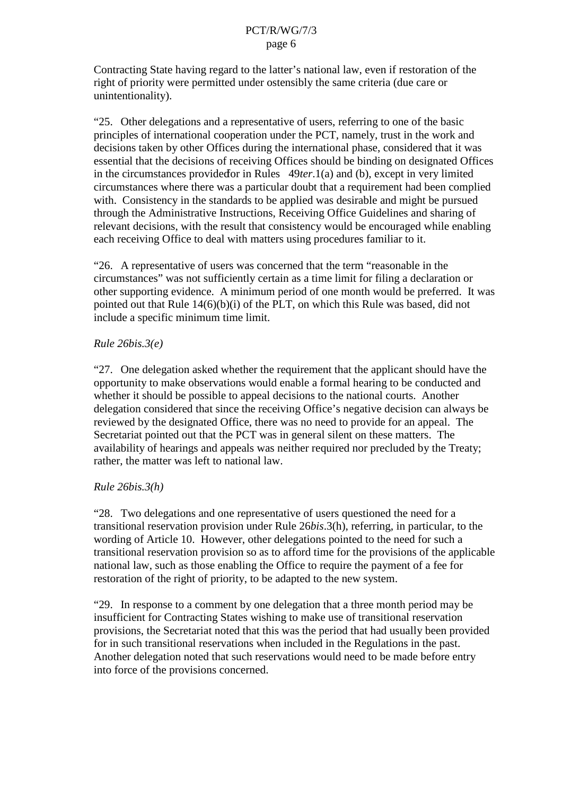Contracting State having regard to the latter's nation all aw, even if restoration of the right of priority were permitted under ostensibly the same criteria (due care or unintentionality).

"25. Other delegations and a representative of users, referring to one of the basic principles of international cooperat ion under the PCT, namely, trust in the work and decisions taken by other Offices during the international phase, considered that it was essential that the decisions of receiving Offices should be binding on designated Offices in the circumstances provided for in Rules  $49$ *ter*.1(a) and (b), except invery limited circumstances where there was a particular doubt that are quirement had been complied with. Consistency in the standards to be applied was desirable and might be pursued through the Administrative I nstructions, Receiving Office Guidelines and sharing of relevant decisions, with the result that consistency would be encouraged while enabling each receiving Office to deal with matters using procedures familiar to it.

"26. A representative of users was concerned that the term "reasonable in the circumstances" was not sufficiently certain as a time limit for filing a declaration or other supporting evidence. A minimum period of one month would be preferred. It was pointed out that Rule  $14(6)(b)(i)$  of the PLT, on which this Rule was based, didnot include a specific minimum time limit.

#### *Rule 26bis.3(e)*

"27. One delegation as ked whether the requirement that the applicant should have the opportunity to make observations would enable a formal hearing to be conducted and whether itshould be possible to appeal decisions to the national courts. Another delegation considered that since the receiving Office's negative decision can always be reviewed by the designated Office, there was noneed to provide for an appeal. The Secretariat pointed out that the PCT was in general silent on the sematters. The availability of hearings and appeals was neither required nor precluded by the Treaty; rather, the matter was left tonational law.

### *Rule 26bis.3(h)*

"28. Twod elegations and one representative of users questioned the need for a transitional reservation provision under Rule 26*bis*. 3(h), referring, in particular, to the wording of Article 10. However, other delegations pointed to the need for such a transitional r eservation provisions oas to afford time for the provisions of the applicable national law, such as those enabling the Office to require the payment of a fee for restoration of the right of priority, to be adapted to the new system.

"29. In response to a comment by one delegation that a three month period may be insufficient for Contracting States wishing to make use of transitional reservation provisions, the Secretariat noted that this was the period that had usually been provided for insuch transition al reservations when included in the Regulations in the past. Another delegation noted that such reservations would need to be made before entry into force of the provisions concerned.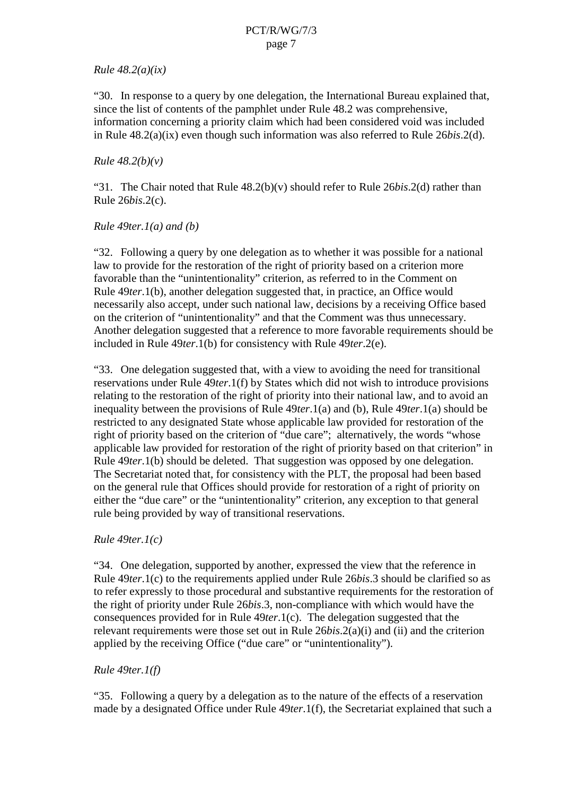#### *Rule 48.2(a)(ix)*

"30. In response to a query by one delegation, the International Bureau explained that, since the list of contents of the pamphlet under Rule 48.2 was comprehensive, information concerning a priority claim which had been considered void was included in Rule 48.2(a)(ix) even though such information was also referred to Rule 26 *bis*.2(d).

#### *Rule 48.2(b)(v)*

"31. The Chairnoted that Rule 48.2(b)(v) should refer to Rule 26*bis*.2(d) rather than Rule 26*bis*.2(c).

#### *Rule 49ter.1(a) and (b)*

"32. Following a query by one delegation as to whether it was possible for a na stional law to provide for the restoration of the right of priority based on a criterion more favorable than the "unintentionality" criterion, as referred to in the Commenton Rule 49*ter*.1(b), another delegation suggested that, in practice, an Office would necessarily also accept, under such national law, decisions by a receiving Office based on the criterion of "unintentionality" and that the Comment was thus unnecessary. Another delegation suggested that are ference to more favorable requirements should b e included in Rule 49*ter*.1(b) for consistency with Rule 49*ter*.2(e).

"33. One delegation suggested that, with a view to avoiding the need for transitional reservations under Rule 49*ter*.1(f) by States which did not wish to introduce provisions relating to the restoration of the right of priority into the irrational law, and to avoid an inequality between the provisions of Rule 49*ter*.1(a) and (b), Rule 49*ter*.1(a) should be restricted to any designated State whose applicable law provided for restoration of the right of priority based on the criterion of "due care"; alternatively, the words "whose applicable law provided for restoration of the right of priority based on that criterion" in Rule 49*ter*.1(b) should be deleted. That suggestion was opposed by one degration. The Secretariat noted that, for consistency with the PLT, the proposal had been based on the general rule that Offices should provide for restoration of a right of priority on either the "due care" or the "unintentionality" criterion, any except ion to that general rule being provided by way of transitional reservations.

### *Rule 49ter.1(c)*

"34. One delegation, supported by another, expressed the view that the reference in Rule 49*ter*.1(c) to the requirements applied under Rule 26*bis*.3 should be clar if ieds oas to refer expressly to those procedural and substantive requirements for the restoration of the right of priority under Rule 26*bis*.3, non-compliance with which would have the consequences provided for in Rule 49*ter*.1(c). The delegation suggeste d that the relevant requirements were those set out in Rule 26*bis*. 2(a)(i) and (ii) and the criterion applied by the receiving Office ("due care" or "unintentionality").

### *Rule 49ter.1(f)*

"35. Following a query by a delegation as to the nature of the effect sof a reservation made by a designated Office under Rule 49*ter*. 1(f), the Secretariate xplained that such a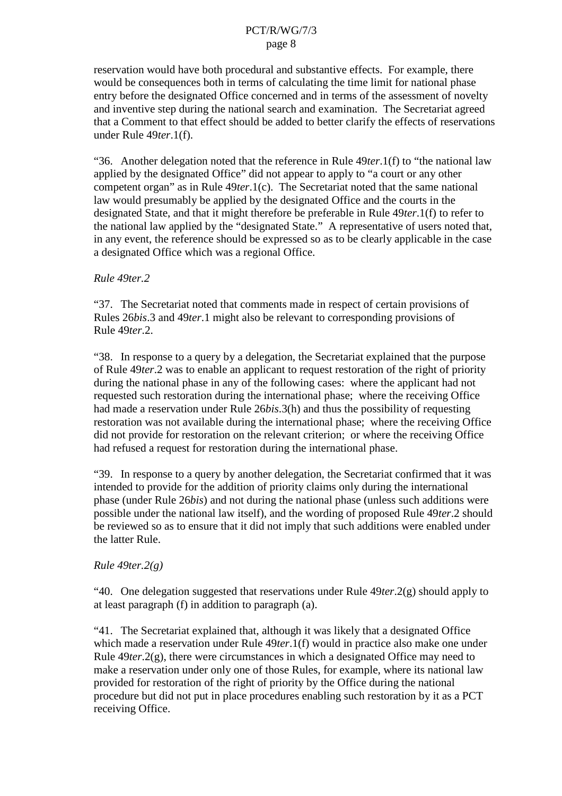reservation would have both procedural and substantive effects. For example, there would be consequences both in terms of calculating the time limi transitional phase entry before the designated Office concerned and in terms of the assessment of novelty and inventive step during the national search and examination. The Secretariat agreed that a Comment to that effects hould be added to better clar if y the effects of reservations underRule 49ter.1(f).

"36. Another delegation noted that the reference in Rule 49*ter*. 1(f) to "the national law applied by the designated Office" did not appear to apply to "a court or any other competent organ "as in Rule 49*ter*.1(c). The Secretariat noted that the same national law would presumably be applied by the designated Office and the courts in the designated State, and that it might therefore be preferable in Rule 49*ter*. 1(f) to refer to the national law applied by the "designated State." A representative of users noted that, in any event, the reference should be expressed so as to be clearly applicable in the case a designated Office which was a regional Office.

#### *Rule 49ter.2*

"37. The Secretariat noted that comme nts made in respect of certain provisions of Rules 26*bis*.3 and 49*ter*.1 might also be relevant to corresponding provisions of Rule 49*ter*.2.

"38. In response to a query by a delegation, the Secretariate xplained that the purpose of Rule 49*ter*.2 was to enable ean applicant to request restoration of the right of priority during the national phase in any of the following cases: where the applicant had not requested such restoration during the international phase; where the receiving Office had made a reservati on under Rule 26*bis*.3(h) and thus the possibility of requesting restoration was not available during the international phase; where the receiving Office did not provide for restoration on the relevant criterion; or where the receiving Office had refused arequest for restoration during the international phase.

"39. In response to a query by another delegation, the Secretariat confirmed that it was intended to provide for the addition of priority claims only during the international phase (under Rule 26*bis*) and not during the national phase (unless such additions were possible under the national law itself), and the wording of proposed Rule 49*ter*.2 should bereviewed so as to ensure that it did not imply that such additions were enabled under the latter Ru le.

### *Rule 49ter.2(g)*

"40. One delegation suggested that reservations under Rule 49*ter*.2(g) should apply to at least paragraph (f) in addition to paragraph (a).

"41. The Secretariatex plained that, although it was likely that a designated Office which mad eareservation under Rule 49*ter*.1(f) would in practice also make one under Rule 49*ter*.2(g), there we recircumstances in which a designated Office may need to make a reservation under only one of those Rules, for example, where its national law provided fo rrestoration of the right of priority by the Office during the national procedure but did not put in place procedures enabling such restoration by it as a PCT receiving Office.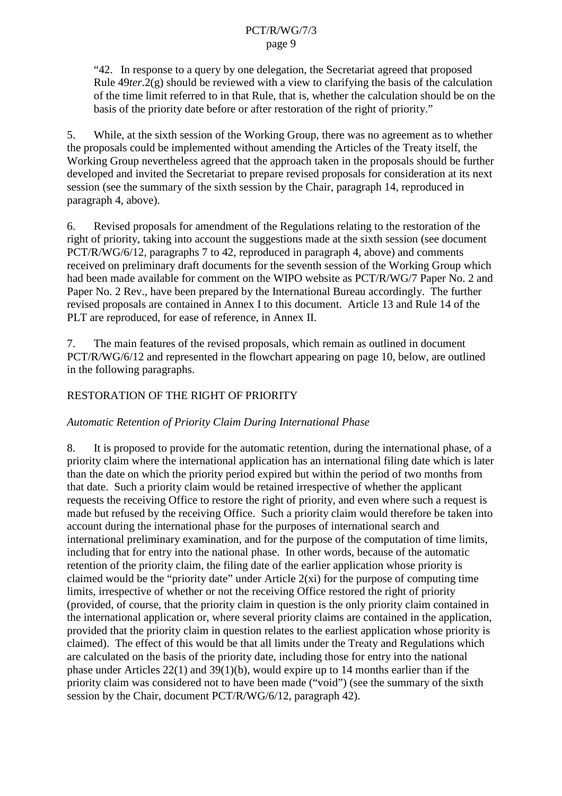"42. In response to a query by one delegation, the Secretariat agreed that p roposed Rule  $49$ *ter*.2(g) should be reviewed with a view to clarifying the basis of the calculation of the time limit referred to in that Rule, that is, whether the calculations hould be on the basis of the priority date before or after restoration of the right of priority."

5. While, at the sixth session of the Working Group, there was no agreement as to whether the proposals could be implemented without amending the Articles of the Treaty itself, the Working Group nevertheless agree dthat the approach taken in the proposals should be further developed and invited the Secretariat to prepare revised proposals for consideration at its next session (see the summary of the sixth session by the Chair, paragraph 14, reproduced in paragraph 4, above).

6. Revised proposals for amendment of the Regulations relating to the restoration of the right of priority, taking into account the suggestions made at the sixtheses ion (seed ocument PCT/R/WG/6/12, paragraphs 7to 42, reproduced in paragraph 4, above) and comments received on preliminary draft documents for the seventh session of the Working Group which had been made available for com ment on the WIPO website as PCT/R/WG/7 Paper No. 2 and Paper No. 2 Rev., have been prepared by the International Bureau accordingly. The further revised proposals are contained in Annex I to this document. Article 13 and Rule 14 of the PLT are reproduced , for ease of reference, in Annex II.

7. The main features of the revised proposals, which remain as outlined indocument PCT/R/WG/6/12 and represented in the flowchart appearing on page 10, below, are outline d in the following paragraphs.

### RESTORATION OF THE RIGHT OF PRIORITY

### *Automatic Retention of Priority Claim During International Phase*

8. It is proposed to provide for the automatic retention, during the international phase, of a priority claim where the international application has an international filing date which is later than the date on which the priority period expired but within the period of two months from that date. Such a priority claim would be retained irrespective o fwhether the applicant requests the receiving Office to restore the right of priority, and even where such a request is made but refused by the receiving Office. Such a priority claim would therefore be taken into account during the international phase f orther purposes of international search and international preliminary examination, and for the purpose of the computation of time limits, including that for entry into the national phase. In other words, because of the automatic retention of the priority claim, the filing date of the earlier application whose priority is  $claimed would be the "priority date" under Article 2(xi) for the purpose of computing time$ limits, irrespective of whether or not the receiving Office restored the right of priority (provided, of course, that the priority claim in question is the only priority claim contained in the international application or, where several priority claims are contained in the application, provided that the priority claim in question relates to the earlie stapplication whose priority is claimed). The effect of this would be that all limits under the Treaty and Regulations which are calculated on the basis of the priority date, including those for entry into the national phase under Articles  $22(1)$  and  $39(1)(b)$ , would expire up to 14 months earlier than if the priority claim was considered not to have been made ("void") (see the summary of the sixth session by the Chair, document PCT/R/WG/6/12, paragraph 42).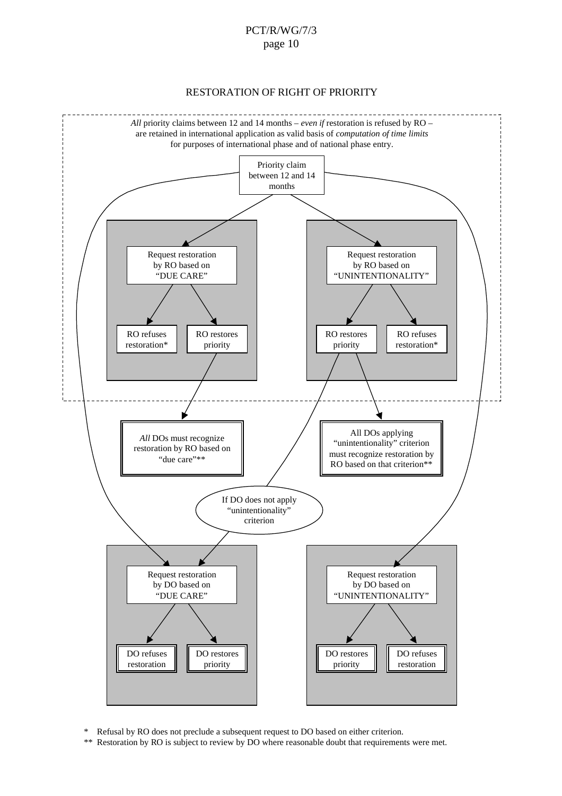RESTORATION OF RIGHT OF PRIORITY



\* Refusal by RO does not preclude a subsequent request to DO based on either criterion.

\*\* Restoration by RO is subject to review by DO where reasonable doubt that requirements we remet.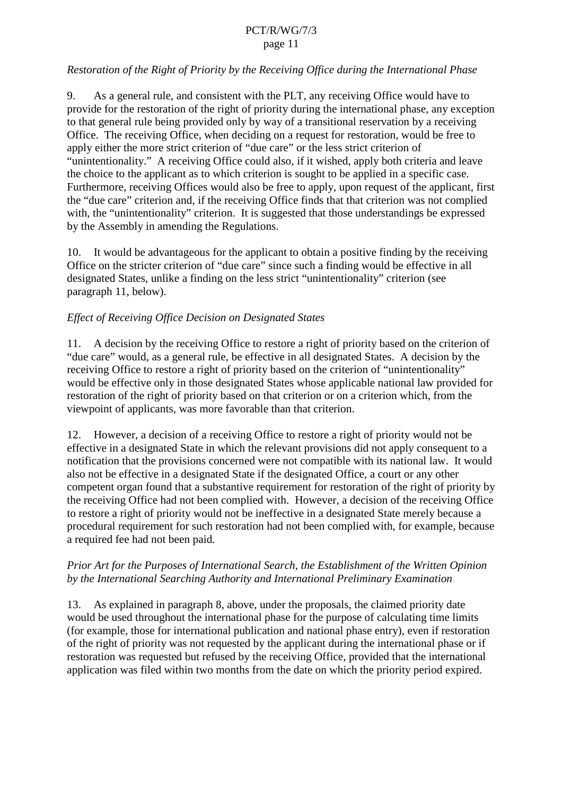### *Restoration of the Right of Priority by the R eceiving Office during the International Phase*

9. As a general rule, and consistent with the PLT, any receiving Office would have to provide for the restoration of the right of priority during the international phase, any exception to that general rule being provided only by way of a transitional reservation by a receiving Office. The receiving Office, when deciding on a request for restoration, would be free to apply either the more strict criterion of "due care" or the less stric t criterion of "unintentionality." A receiving Office could also, if it wished, apply both criteria and leave the choice to the applicant as to which criterion is sought to be applied in a specific case. Furthermore, receiving Offices would also be free to apply, upon request of the applicant, first the "due care" criterion and, if the receiving Office finds that that criterion was not complied with, the "unintentionality" criterion. It is suggested that those understandings be expressed by the Assembly in amending the Regulations.

10. It would be advantageous for the applicant to obtain a positive finding by the receiving Office on the stricter criterion of "due care" since such a finding would be effective in all designated State s, unlike a finding on the less strict "unintentionality" criterion (see paragraph 11, below).

### *Effect of Receiving Office Decision on Designated States*

11. A decision by the receiving Off ice to restore a right of priority based on the criterion of "due care" would, as a general rule, be effective in all designated States. A decision by the receiving Office to restore a right of priority based on the criterion of "unintentionality" would be effective only in those designated States whose applicable national law provided for restoration of the right of priority based on that criterion or on a criterion which, from the viewpoint of applicants, was more favorable than that criterion.

12. However, a decision of a receiving Office to restore a right of priority would not be effective inadesignated State in which the relevant provisions did not apply consequent to a notification that the provisions concerned were not comp atible with its national law. It would alsonot be effective in a designated State if the designated Office, a court or any other competent organ found that a substantive requirement for restoration of the right of priority by the receiving Office had not been complied with. However, a decision of the receiving Office to restore a right of priority would not be ineffective in a designated State merely because a procedural requirement for such restoration had not been complied with, for example, because a required fee had not been paid.

### *Prior Art for the Purposes of International Search, the Establishment of the Written Opinion by the International Searching Authority and International Preliminary Examination*

13. As explained in paragraph 8, above, under the proposals, the claimed priority date would be used throughout the international phase for the purpose of calculating time limits (for example, those for international publication and na tional phase entry), even if restoration of the right of priority was not requested by the applicant during the international phase or if restoration was requested but refused by the receiving Office, provided that the international application was filed w ithin two months from the date on which the priority period expired.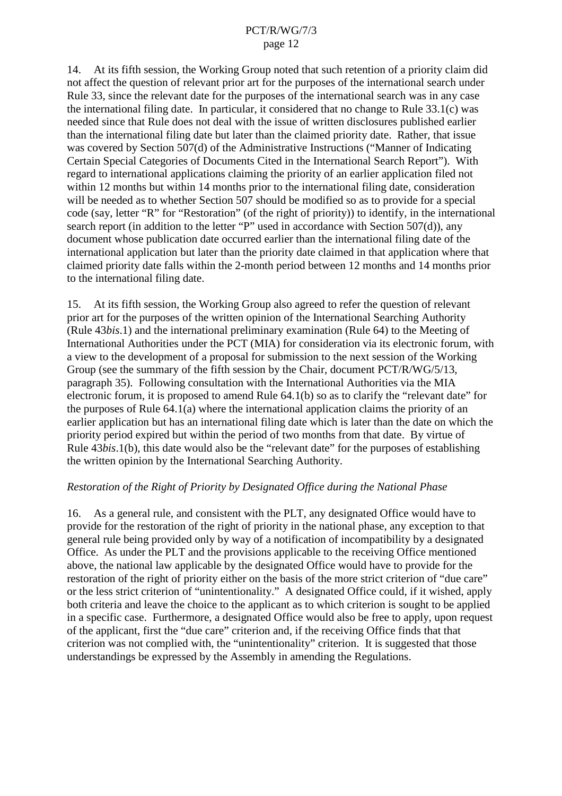14. At its fifth session, the Working Group noted that such retention of a priority claim did not affect the question of relevant prior art for the purposes of the international search under Rule 33, since the relevant date for the purposes of the international search was in any case the international filing date. In particular, it considered that no change to Rule  $33.1(c)$  was needed since that Rule does not dea lwith the issue of written disclosures published earlier than the international filing date but later than the claimed priority date. Rather, that issue was covered by Section 507(d) of the Administrative Instructions ("Manner of Indicating Certain Speci al Categories of Documents Cited in the International Search Report"). With regard to international applications claiming the priority of an earlier application filed not within 12 months but within 14 months prior to the international filing date, consid eration will be needed as to whether Section 507 should be modified so as to provide for a special code (say, letter "R" for "Restoration" (of the right of priority)) to identify, in the international search report (in addition to the letter "P" used in accordance with Section 507(d)), any document whose publication date occurred earlier than the international filing date of the international application but later than the priority date claimed in that application where that claimed priority date falls with in the 2- month period between 12 months and 14 months prior to the international filing date.

15. At its fifth session, the Working Group also agreed to refer the question of relevant prior art for the purposes of the written opinio n of the International Searching Authority (Rule 43*bis.1*) and the international preliminary examination (Rule 64) to the Meeting of International Authorities under the PCT (MIA) for consideration via its electronic forum, with aview to the development of a proposal for submission to the next session of the Working Group(seethe summary of the fifth session by the Chair, document PCT/R/WG/5/13, paragraph 35). Following consultation with the International Authorities via the MIA electronic forum, it is provided to amend Rule 64.1(b) so as to clarify the "relevant date" for  $the purpose of Rule 64.1(a) where the international application claims the priority of an$ earlier application but has an international filing date which is later than the date on which the he priority period expired but within the period of two months from that date. By virtue of Rule 43*bis*.1(b), this date would also be the "relevant date" for the purposes of establishing the written opinion by the International Searching Authority.

### *Restoration of the Right of Priority by Designated Office during the National Phase*

16. As a general rule, and consistent with the PLT, any designated Office would have to provide for the restoration of the right of priority in the nation alphase, any exception to that general rule being provided only by way of a notification of incompatibility by a designated Office. As under the PLT and the provisions applicable to the receiving Office mentioned above, the national law applicable by the designated Office would have to provide for the restoration of the right of priority either on the basis of the more strict criterion of "due care" ortheless strict criterion of "unintentionality." A designated Office could, if it wished, apply bother iteria and leave the choice to the applicant as to which criterion is sought to be applied in a specific case. Furthermore, a designated Office would also be free to apply, upon request of the applicant, first the "due care" criterion and, if the receivin gOffice finds that that criterion was not complied with, the "unintentionality" criterion. It is suggested that those understandings be expressed by the Assembly in amending the Regulations.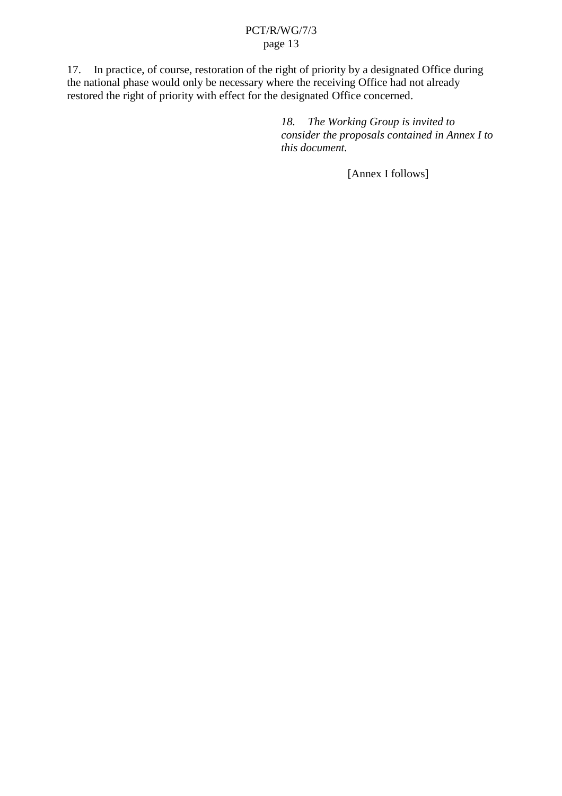17. In practice, of course, restoratio nof the right of priority by a designated Office during the national phase would only be necessary where the receiving Office had not already restored the right of priority with effect for the designated Office concerned.

> 18. The Working Group is invited to *consider the proposals contained in Annex I to this document.*

> > [Annex Ifollows]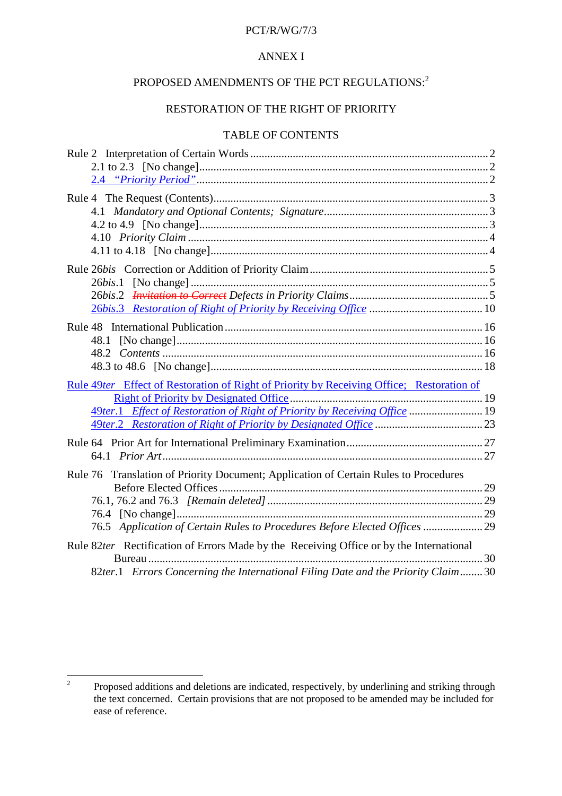### PCT/R/WG/7/3

#### **ANNEXI**

# PROPOSED AMENDMENTS OF THE PCT REGULATIONS: <sup>2</sup>

### RESTORATION OF THE RIGHT OF PRIORITY

### TABLEOF CONTENTS

| Rule2InterpretationofCertainWords                                              |                           |
|--------------------------------------------------------------------------------|---------------------------|
| $2.1$ to $2.3$                                                                 |                           |
|                                                                                |                           |
|                                                                                |                           |
|                                                                                |                           |
|                                                                                |                           |
|                                                                                |                           |
|                                                                                |                           |
|                                                                                |                           |
|                                                                                |                           |
|                                                                                |                           |
|                                                                                |                           |
| Rule48InternationalPublication                                                 |                           |
| 48.1                                                                           |                           |
|                                                                                |                           |
|                                                                                |                           |
|                                                                                |                           |
| Rule49 ter_EffectofRestorationofRightofPrioritybyReceivingOffice;Restorationof |                           |
| <b>RightofPrioritybyDesignatedOffice</b>                                       |                           |
| 49ter.1 EffectofRestorationofRightofPrior itybyReceivingOffice  19             |                           |
|                                                                                |                           |
|                                                                                |                           |
|                                                                                |                           |
| Rule76TranslationofPriorityDocument;ApplicationofCertainRulestoProcedures      |                           |
|                                                                                |                           |
|                                                                                |                           |
|                                                                                |                           |
| 76.5 ApplicationofCertainRulestoProceduresBeforeElectedOffices manufacture.29  |                           |
| Rule82 ter RectificationofErrorsMadebytheReceivingOfficeorbytheInternational   |                           |
|                                                                                | 30                        |
| 82ter.1 ErrorsConcerningtheInternationalFilingDateandthePriorityClaim          | $\ldots \ldots \ldots 30$ |

<sup>&</sup>lt;sup>2</sup> Proposed additions and deletions are indicated, respectively, by underlining and striking through the text concerned. Certain provisions that are not proposed to be amended may be included for the state or ease of reference.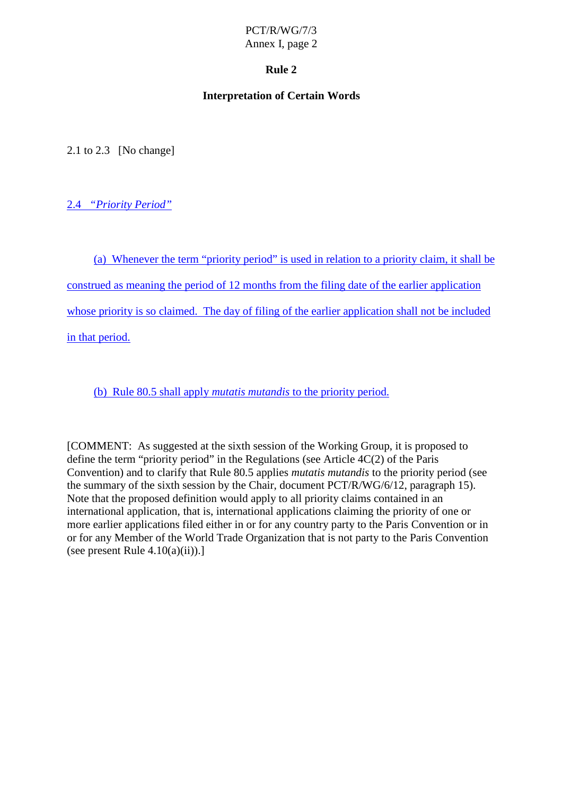### **Rule 2**

### **Interpretation of Certain Words**

 $2.1$  to  $2.3$  [No change]

2.4 *"Priority Period"*

(a) Whenever the term "priority period" is used in relation to a priority claim, it shall be

construed as meaning the period of 12 months from the filing date of the earlier application

whose priority is soclaimed. The day of filing of the earlier application shall n other included

in that period.

(b) Rule 80.5 shall apply *mutatis mutandis* to the priority period.

[COMMENT: Assuggested at the sixth session of the Working Group, it is proposed to  $definetherm "priority period" in the Regularions (see Article 4C(2) of the Paris)$ Convention) and to clarify that Rule 80.5 applies *mutatis mutandis* to the priority period (see the summary of the sixth session by the Chair, document  $PCT/R/WG/6/12$ , paragraph 15). Note that the proposed definition would apply to all priorit velaims contained in an international application, that is, international applications claiming the priority of one or more earlier applications filed either in or for any country party to the Paris Convention or in or for any Member of the World Trade Or ganization that is not party to the Paris Convention (seepresent Rule  $4.10(a)(ii)$ ).]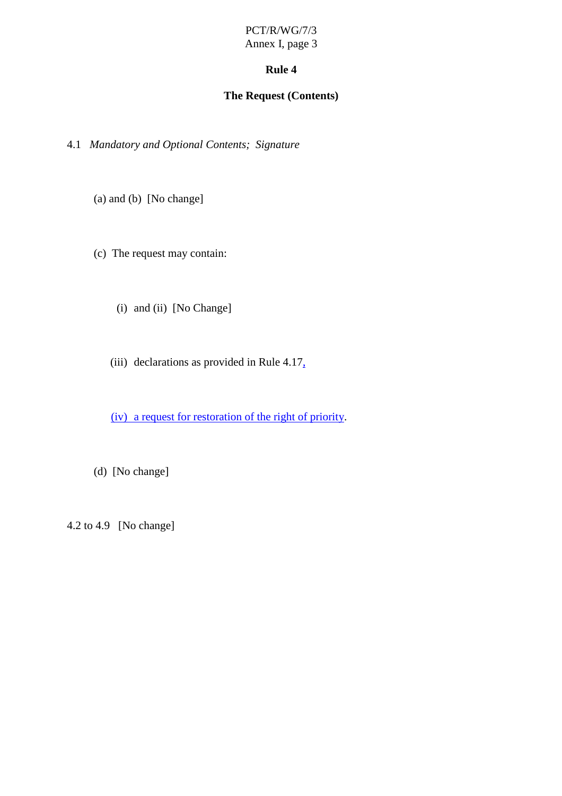### Rule4

### **The Request (Contents)**

4.1 *Mandatory and Optional Contents; Signature*

 $(a)$  and  $(b)$  [No change]

(c) The request may contain:

(i) and (ii) [No Change]

(iii) declarations as provided in Rule 4.17  $\frac{1}{4}$ 

(iv) arequestforrestoration of the right of priority .

(d) [Nochange]

 $4.2 \text{ to } 4.9$  [Nochange]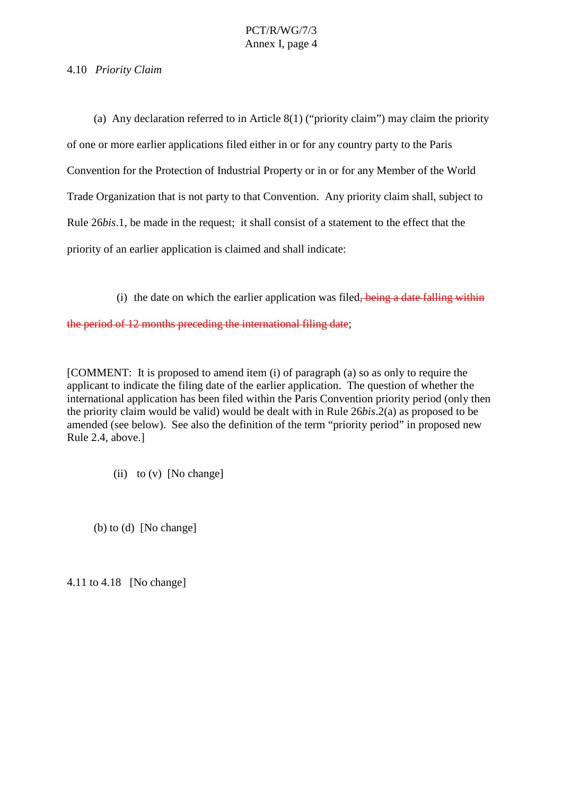4.10 *Priority Claim*

(a) Any declaration referred to in Article  $8(1)$  ("priority claim") may claim the priorit y of one or more earlier applications filed either in or for any country party to the Paris Convention for the Protection of Industrial Property or in or for any Member of the World Trade Organization that is not party to that Convention. Any priority cla im shall, subject to Rule 26*bis*.1, be made in the request; its hall consist of a statement to the effect that the priority of an earlier application is claimed and shall indicate:

(i) the date on which the earlier application was filed , being a date fall ing within

 $the period of 12 months preceding the international filing date$ ;

[COMMENT: It is proposed to amend item (i) of paragraph (a) so as only to require the applicant to indicate the filing date of the earlier application. The question of whether the e international application has been filed within the Paris Convention priority period (only then the priority claim would be valid) would be dealt with in Rule 26*bis*. 2(a) as proposed to be amended (see below). See also the definition of the term "priorit yperiod" in proposed new Rule 2.4, above.]

(ii)  $to (v)$  [No change]

 $(b)$  to  $(d)$  [No change]

4.11 to 4.18 [No change]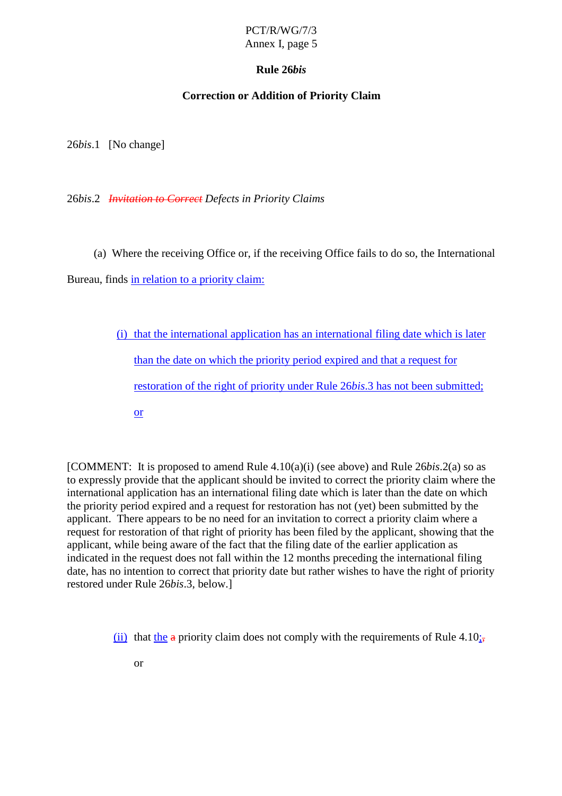# PCT/R/WG/7/3

### Annex I, page 5

### **Rule 26** *bis*

### **Correction or Addition of Priority Claim**

26*bis*.1 [Nochange]

26*bis*.2 *Invitation to Correct Defects in Priority Claim s*

(a) Where the receiving Office or, if the receiving Office fails to do so, the International

Bureau, finds in relation to a priority claim:

(i) that the international application has an international filing date which is later than the date on which the priority period expired and that are quest for restoration of the right of priority under Rule 26*bis*. 3 has not been submitted; or

[COMMENT: It is proposed to amend Rule 4.10(a)(i) (see above) and Rule 26*bis*.2(a) so as to expressly provide that the app licant should be invited to correct the priority claim where the international application has an international filing date which is later than the date on which the priority period expired and a request for restoration has not (yet) been submitted by the applicant. There appears to be noneed for an invitation to correct a priority claim where a request for restoration of that right of priority has been filed by the applicant, showing that the applicant, while being aware of the fact that the filing date of the earlier application as indicated in the request does not fall within the 12 months preceding the international filing date, has no intention to correct that priority date but rather wishes to have the right of priority restored under Rule 26 *bis*.3, below.]

```
(ii) that the apriority claim does not comply with the requirements of Rule 4.10;,
```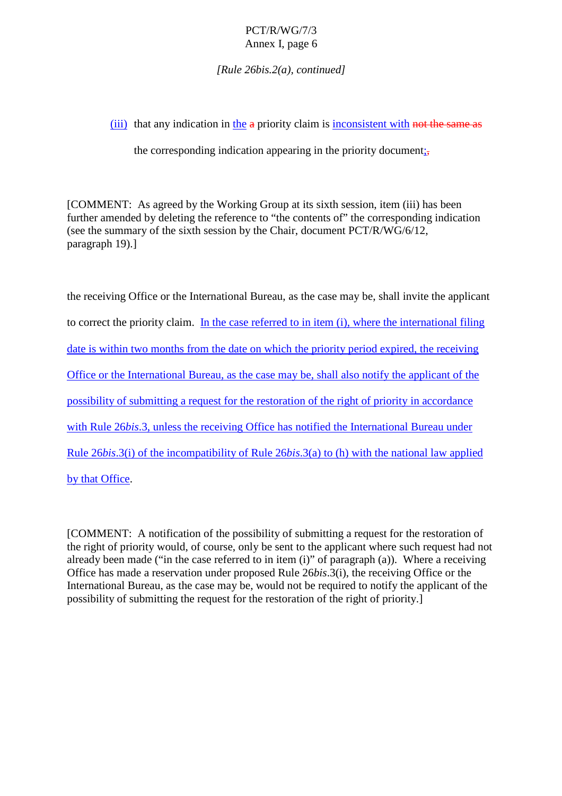*[Rule 26bis.2(a), continued]*

 $(iii)$  that any indication in the apriority claim is inconsistent with not the same as

the corresponding indication appearing in the priority document  $\mathcal{F}_{\mathbf{t}}$ 

[COMMENT: As agreed by the Working Group at its sixth session, item (iii) has been furtheramended by deleting the reference to "the contents of "the corresponding indication  $(see the summary of the six the session by the Chair, document on the CTT/R/WG/6/12,$ paragraph 19).]

| thereceivingOfficeortheInternationalBureau,asthecasemaybe,shallinvitetheapplicant                  |
|----------------------------------------------------------------------------------------------------|
| Inthecasereferredtoinitem(i), where the international filing<br>tocorrectthepriorityclaim.         |
| from the date on which the priority period expired, the receiving<br>dateiswithintwomonths         |
| OfficeortheInternationalBureau,asthecasemaybe,shallalsonotifytheapplicantofthe                     |
| possibilityofsubmittingarequestfortherestorationoftherightofpriorityinaccordance                   |
| withRule 26bis.3, unless the receiving Office has notified the International Bureau under          |
| Rule 26 <i>bis.3(i)</i> of the incompatibility of Rule<br>26bis.3(a)to(h)withthenationallawapplied |
| bythatOffice.                                                                                      |

[COMMENT: Anotification of the possibility of submi tting a request for the restoration of the right of priority would, of course, only be sent to the applicant where such request had not already been made ("in the case referred to initem (i)" of paragraph (a)). Where a receiving Office has made a reserva tion under proposed Rule 26*bis*.3(i), the receiving Office or the International Bureau, as the case may be, would not be required to notify the applicant of the possibility of submitting the request for the restoration of the right of priority.]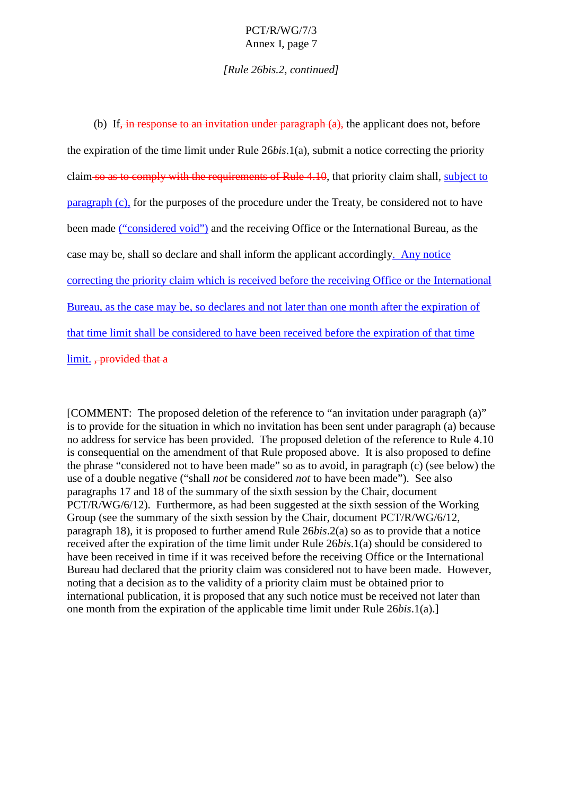*[Rule 26bis .2, continued]*

| (b) If <del>, inresponsetoaninvitationunderparagraph(a), the</del> applicantdoesnot, before               |
|-----------------------------------------------------------------------------------------------------------|
| the expiration of the time limit under Rule<br>26 <i>bis.</i> 1(a), submitanotic ecorrecting the priority |
| claimsoastocomplywiththerequirementsofRule 4.10, that priority claims hall,<br>subjectto                  |
| paragraph (c), forthepurposes of the procedure under the Treaty, beconsidered not to have                 |
| beenmade ("consideredvoid") and thereceiving Office orthe International Bureau, as the                    |
| andshallinformtheapplicantaccordingly<br>casemaybe,shallsodeclare<br>.Anynotice                           |
| correctingthepriorityclaimwhichisreceivedbeforethereceivingOfficeortheInternational                       |
| Bureau, as the case may be, so declares and not later than one month after the expiration of              |
| thattime limitshallbeconsideredtohavebeenreceivedbeforetheexpirationofthattime                            |
| limit., provided thata-                                                                                   |

[COMMENT: The proposed deletion of the reference to "an invitation under paragraph (a)" isto provide for the situation in which no invitation has been sent under paragraph (a) because no address for service has been provided. The proposed deletion of the reference to Rule 4.10 is consequential on the amendment of that Rule proposed above. It is also proposed to define  $the phrase "considered not to have been made" so a sto avoid, in paragraph (c) (see below) the$ use of a double negative ("shall *not* be considered *not* to have been made"). See also paragraphs 17 and 18 of the summary of the sixth session by the Chair, document PCT/R/WG/6/12). Furthermore, as had been suggested at the sixtheses ion of the Working Group (see the summary of the sixth session by the Chair, document PCT/R/WG/6/12, paragraph 18), it is proposed to further amend Rule 26*bis*. 2(a) so as to provide that a notice received after the expiration of the time limit under Rule 26*bis*. 1(a) should be considered to have been received in time if it was received before the receiving Office or the International Bureau had declared that the priority claim was considered not to have been made. However, noting that a decision as to the validity of a priority claim must be obtained prior to international publication, it is proposed that any such notice must be received not later than one month from the expiration of the applicable time limit under Rule 26*bis*. 1(a).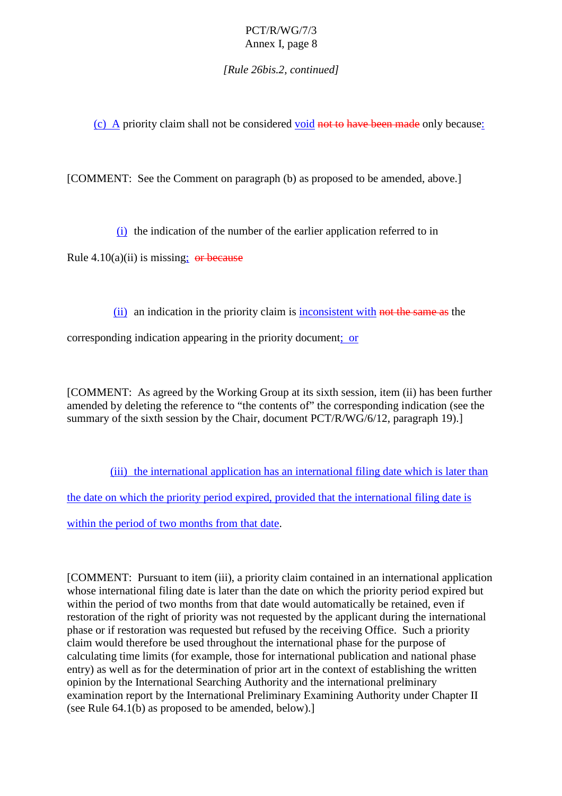*[Rule 26bis.2, continued]*

(c) A priority claim shall not be considered void not to have been made only because :

[COMMENT:SeetheCommentonparagraph(b)asproposedtobeamended, above.]

 $(i)$  the indication of the number of the ear lierapplication referred to in

Rule  $4.10(a)(ii)$  is missing ; or because

(ii) an indication in the priority claim is inconsistent with not the same as the

corresponding indication appearing in the priority document ; or

[COMMENT: As agreed by the Working Group at its sixth session, item (ii) has been further amended by deleting the reference to "the contents of "the corresponding indication (see the summary of the sixth session by the Chair, document PCT/R/WG/6/12, paragraph 19).]

(iii) the international application has an international filing date which is later than

the date on which the priority period expired, provided that the international filing date is

within the period of two months from that date  $\qquad$ .

[COMMENT: Pursuant to item (iii), a priority cl aim contained in an international application whose international filing date is later than the date on which the priority period expired but within the period of two months from that date would automatically be retained, even if restoration of the right of priority was not requested by the applicant during the international phase orifrestoration was requested but refused by the receiving Office. Such a priority claim would therefore be used throughout the international phase for the purpose of calculating time limits (for example, those for international publication and national phase entry) as well as for the determination of prior art in the context of establishing the written opinion by the International Searching Authority and the international preliminary examination report by the International Preliminary Examining Authority under Chapter II  $(see Rule 64.1(b) as proposed to be amended, below).$ ]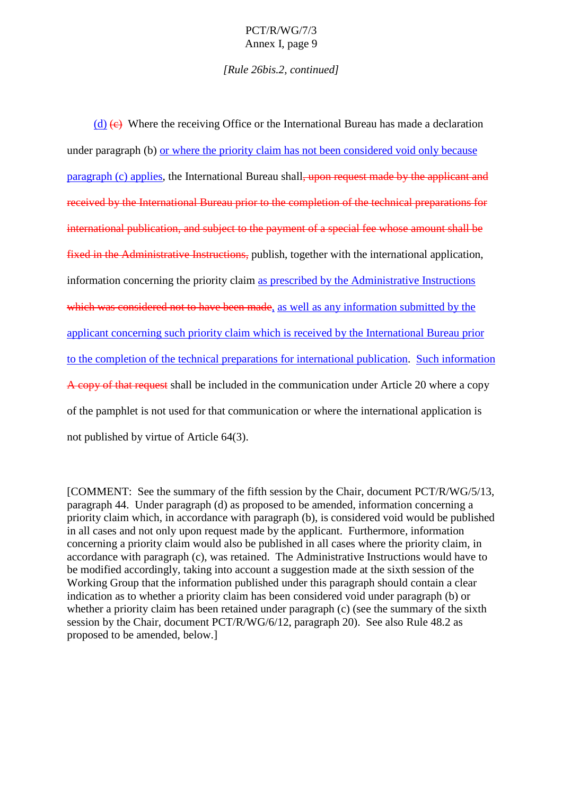#### *[Rule 26bis.2, continued]*

(d)  $\left(\text{e}\right)$  Where the receiving Office or the International Bureau has made a decl aration under paragraph (b) or where the priority claim has not been considered void only because paragraph (c) applies , the International Bureau shall , upon request made by the applicant and received by the International Bureau prior to the completion of the technical preparations for the technical pr international publication, and subject to the payment of a special fee whose amount shall be fixed in the Administrative Instructions, publish, together with the international application, information concerning the priority claim as prescribed by the Administrative Instructions which was considered not to have been made  $\longrightarrow$ , as well as any information submitted by the applicant concerning such priority claim which is received by the International Bureau prior to the completion of the technical preparations for international publication . Such information A copy of that request shall be included in the communication under Article 20 where a copy of the pamphlet is not used for that communication or where the international applicati on is not published by virtue of Article  $64(3)$ .

[COMMENT: See the summary of the fifth session by the Chair, document PCT/R/WG/5/13, paragraph 44. Under paragraph (d) as proposed to be amended, information concerning a priority claim which, in accordance with paragraph (b), is considered void would be published in all cases and not only upon request made by the applicant. Furthermore, information concerning a priority claim would also be published in all cases where the priority claim, in accordance with paragraph (c), was retained. The Administrative Instructions would have to be modified accordingly, taking into account a suggestion made at the sixth session of the Working Group that the information published under this paragraph should contain a clear indication as to whether a priority claim has been considered void under paragraph (b) or  $whether a priority claim has been retained under paragraph (c) (see the summary of the sixth)$ session by the Chair, document PCT/R/WG/6/12, paragraph 20). See also R ule 48.2 as proposed to beamended, below.]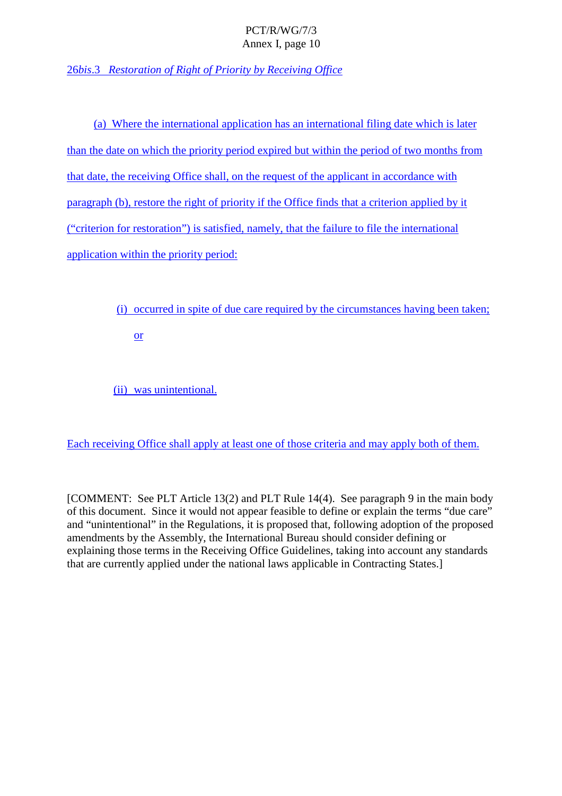26*bis*.3 *Restoration of Right of Priority by Receiving Office*

(a) Where the international application has an international filing date which is later than the date on which the priority period expired but with in the period of two months from that date, the receiving Officeshall, on the request of the applicant in accordance with paragraph(b), restore the right of priority if the Office finds that a criterion applied by it ("criterionforrestoration") issati sfied, namely, that the failure to file the international application within the priority period:

(i) occurred in spite of due care required by the circumstances having been taken;

or

(ii) was unintentional.

Each receiving Offices hall apply at least on extend the of those criteria and may apply both of them.

[COMMENT:SeePLTArticle13(2)and PLT Rule 14(4). See paragraph 9 in the main body of this document. Since it would not appear feasible to define or explaint heterms "due care" and "unintentional" in the Regulations, it is proposed that, following adoption of the proposed amendments by the Assembly, the International Bureaus hould consider defining or explaining those terms in the Receiving Office Guidelines, the aking into accountany standards that are currently applied under the national laws applicable in Contracting States.]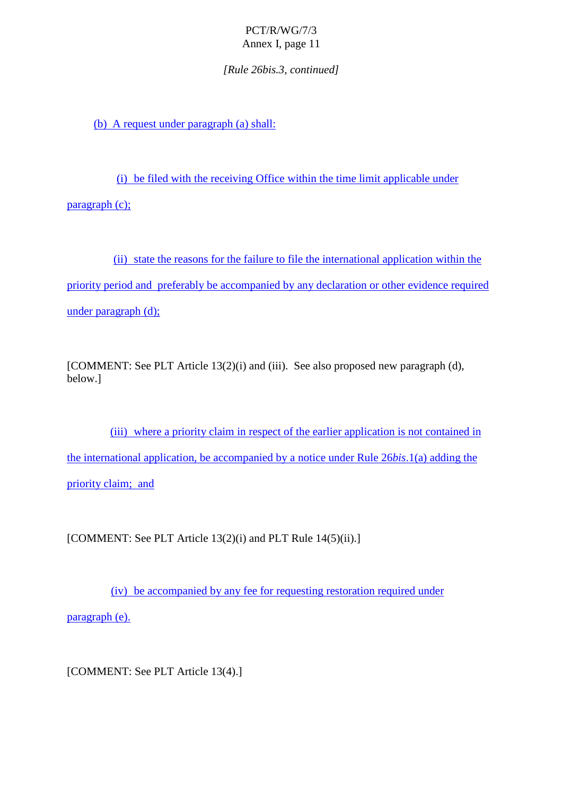*[Rule 26bis.3, continued]*

(b) A request under paragraph  $(a)$  shall:

(i) be filed with the receiving Office with in the time limit applic able under  $paragraph(c);$ 

(ii) state the reasons for the failure to file the international application within the priority period and preferably be accompanied by any declaration or other evidence required  $under paragraph(d);$ 

[COMMENT:SeePLTArticle1 3(2)(i)and(iii).See also proposed new paragraph (d), below.]

(iii) where a priority claim in respect of the earlier application is not contained in the international application, be accompanied by a notice under Rule 26*bis*. 1(a) adding the priority cla im; and

[COMMENT:SeePLTArticle13(2)(i)and PLT Rule 14(5)(ii).]

(iv) be accompanied by any fee for requesting restoration required under

paragraph (e).

[COMMENT:SeePLTArticle13(4).]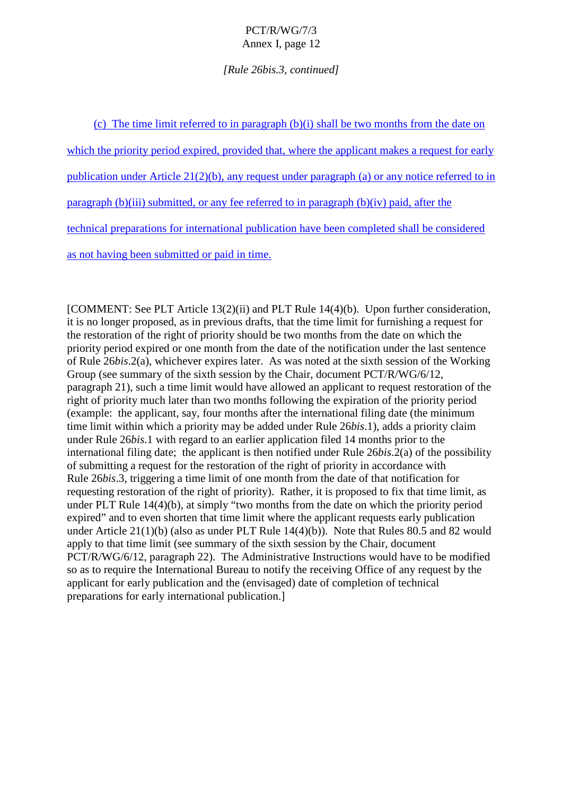#### *[Rule 26bis.3, continued]*

 $(c)$  The time limit referred to inparameter ragraph  $(b)(i)$  shall be two months from the date on

which the priority period expired, provided that, where the applicant makes are quest for early

publication under Article  $21(2)(b)$ , any request under paragraph (a) or any notice referred to in

 $paragraph(b)(iii) submitted, or any feerferred to in paragraph(b)(iv) paid, after the$ 

technical preparations for international publication have been completed shall be considered

as not having been submitted or paid in time.

[COMMENT:SeePLTArticle13(2)(ii)an dPLTRule14(4)(b). Upon further consideration, itis no longer proposed, as in previous drafts, that the time limit for furnishing a request for the restoration of the right of priority should be two months from the date on which the priority period exp ired or one month from the date of the notification under the last sentence of Rule 26*bis*.2(a), whichever expires later. As was noted at the sixth session of the Working Group(see summary of the sixth session by the Chair, document PCT/R/WG/6/12, paragraph 21), such a time limit would have allowed an applicant to request restoration of the right of priority much later than two months following the expiration of the priority period (example: the applicant, say, four months after the international filing d ate (the minimum time limit within which a priority may be added under Rule 26*bis*.1), adds a priority claim under Rule 26*bis*.1 with regard to an earlier application filed 14 months prior to the international filing date; the applicant is the notified und err Rule 26*bis*. 2(a) of the possibility of submitting a request for the restoration of the right of priority in accordance with Rule 26*bis*.3, triggering a time limit of one month from the date of that notification for requesting restoration of the right of priority). Rather, it is proposed to fix that time limit, as under PLT Rule 14(4)(b), at simply "two months from the date on which the priority period expired" and to even shorten that time limit where the applicant requests early publication under Article  $21(1)(b)$  (also as under PLT Rule 14(4)(b)). Note that Rules 80.5 and 82 would apply to that time limit (see summary of the sixth session by the Chair, document PCT/R/WG/6/12, paragraph 22). The Administrative Instructions would have to be modified so as to require the International Bureau to notify the receiving Office of any request by the applicant for early publication and the (envisaged) date of completion of technical preparations for early international publication.]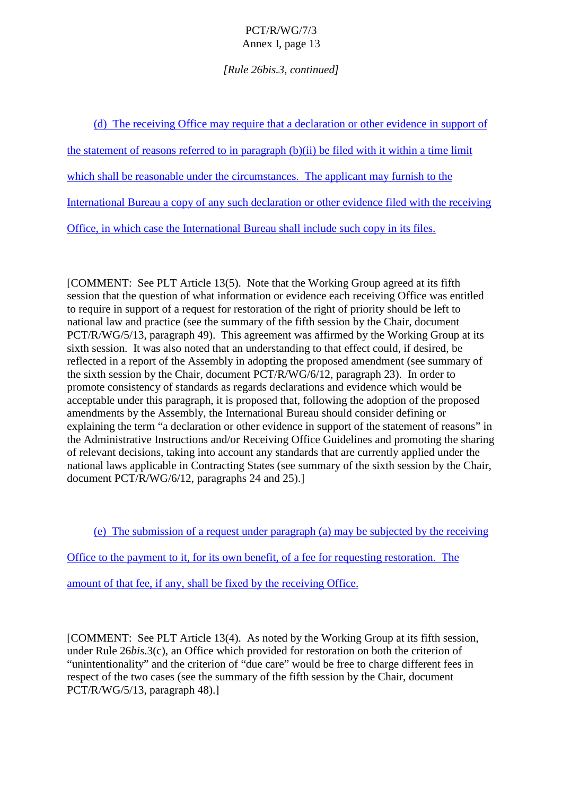### *[Rule 26bis.3, continued]*

(d) The receiving Office may require that a declaration or other evidence in support of the statement of reasons referred to in paragraph (b)(ii) be filed with it within a time limit which shall be reasonable under the circumstances. The applicant may furnis hto the International Bureau a copy of any such declaration or other evidence filed with the receiving Office, in which case the International Bureau shall include such copy in its files.

[COMMENT:SeePLTArticle13(5). Note that the Working Group agre edatisfifth session that the question of what information or evidence each receiving Office was entitled to require in support of a request for restoration of the right of priority should be left to national law and practice (see the summary of the fif thsession by the Chair, document PCT/R/WG/5/13, paragraph 49). This agreement was affirmed by the Working Group at its sixth session. It was also noted that an understanding to that effect could, if desired, be reflected in a report of the Assembly in a dopting the proposed amendment (see summary of the sixth session by the Chair, document PCT/R/WG/6/12, paragraph 23). In order to promoteconsistency of standards as regards declarations and evidence which would be<br>acceptable under this paragraph, it is proposed that, following the adoption of the pro roposed that, following the adoption of the proposed amendments by the Assembly, the International Bureaus hould consider defining or explaining the term "a declaration or other evidence in support of the statement of reasons" in the Administrative Instruc tions and/or Receiving Office Guidelines and promoting the sharing of relevant decisions, taking into account any standards that are currently applied under the national laws applicable in Contracting States (see summary of the sixth session by the Chair,  $document PCT/R/WG/6/12, paragraphs 24 and 25).$ ]

 $(e)$  The submission of a request under paragraph  $(a)$  may be subjected by the receiving

Office to the payment to it, for its own benefit, of a fee for requesting restoration. The

amount of that fee, if any, shall be fixed by the receiving Office.

[COMMENT:SeePLTArticle13(4). As noted by the Working Group at its fifth session, underRule 26*bis.3(c)*, an Office which provided for restoration on both the criterion of "unintentionality" and the criterion of "due care" would be free to charge different fees in respect of the two cases (see the summary of the fifth session by the Chair, document PCT/R/WG/5/13, paragraph 48).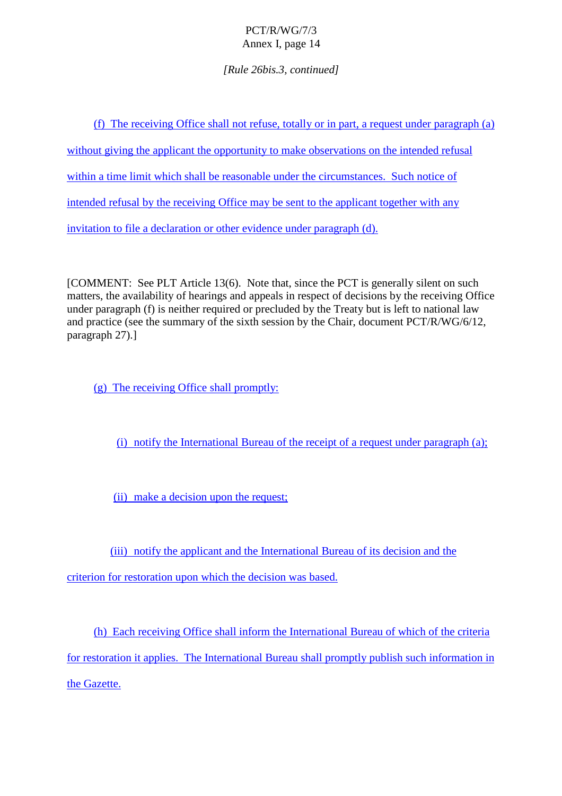*[Rule 26bis.3, continued]*

(f) The receiving Office shall not refuse, totall voring art, a request under paragraph (a) without giving the applicant the opportunity to make observations on the intended refusal within a time limit which shall be reasonable under the circumstances. Such notice of intended refusal by the receiving Office may be sent to the applicant together with any invitation to file a declaration or other evidence under paragraph (d).

[COMMENT:SeePLTArticle13(6). Note that, since the PCT is generally silent on such matters, the availability of hearings and appeals in respect of decisions by the receiving Office under paragraph (f) is neither required or precluded by the Treaty but is left to national law and practice (see the summary of the sixth session by the Chair, document PCT/R/WG/6/12, paragraph 27).]

 $(g)$  The receiving Offices hall promptly:

 $(i)$  notify the International Bureau of the receipt of a request under paragraph  $(i)$ ;

(ii) make a decision upon the request;

(iii) notify the applicant and the International Bureau of its decision and the

criterion forre storation upon which the decision was based.

(h) Each receiving Office shall inform the International Bureau of which of the criteria for restoration it applies. The International Bureau shall promptly publish such information in

the Gazette.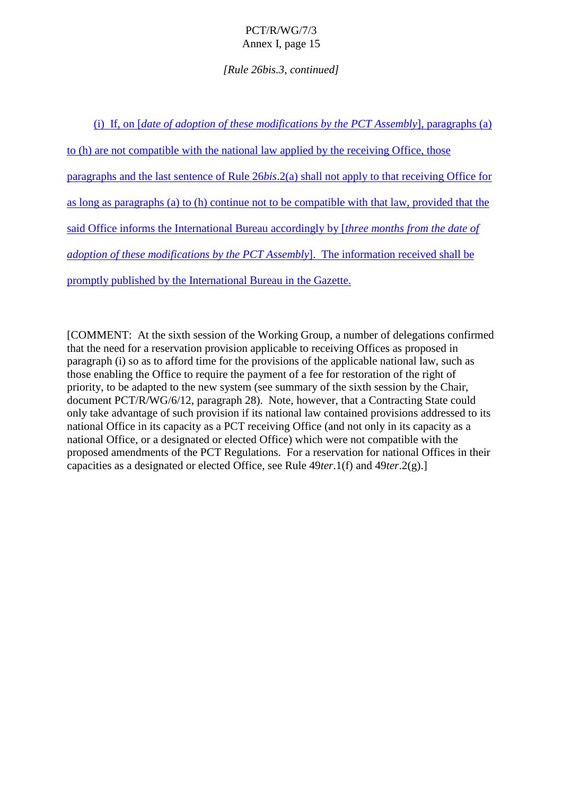### *[Rule 26bis.3, continued]*

(i) If, on *date of adoption of the sempodifications by the PCTAs semply* al. paragraphs (a) to (h) are not compatible with the national law applied by the receiving Office, those paragraphs and the last sentence of Rule 26*bis*. 2(a) shall not apply to that receiving Office for as long as paragraphs (a) to (h) continue not to be compatible with that law, provided that the said Office informs the International Bureau accordingly by [*three months from the date of adoption of the semodifications by* the PCTAs sembly ]. The information received shall be promptly published by the International Bureau in the Gazette.

[COMMENT:Atthesixthsession of the Working Group, an umber of delegations confirmed that the need for a reservation provision applicab leto receiving Offices as proposed in paragraph (i) so as to afford time for the provisions of the applicable national law, such as thoseenabling the Office to require the payment of a fee for restoration of the right of priority, to be adapted to the ne w system (see summary of the sixth session by the Chair, document PCT/R/WG/6/12, paragraph 28). Note, however, that a Contracting State could only take advantage of such provision if its national law contained provisions addressed to its national Office i nits capacity as a PCT receiving Office (and not only in its capacity as a national Office, or a designated or elected Office) which we renot compatible with the proposed amendments of the PCT Regulations. For a reservation for national Offices in their capacities as a designated or elected Office, see Rule  $49$ *ter*.1(f) and 49 *ter*.2(g).]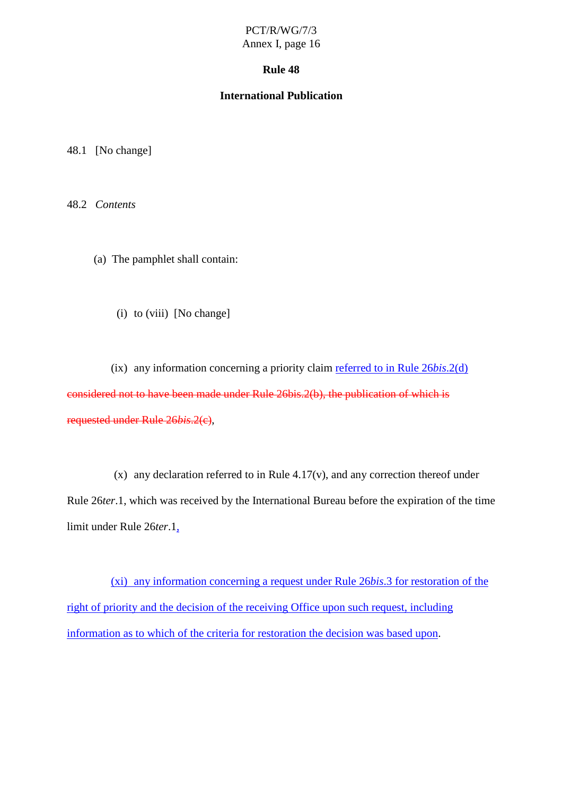### **Rule 48**

### **International Publication**

48.1 [Nochange]

48.2 *Contents*

(a) The pamphlet shall contain:

(i) to (viii) [No change]

 $(ix)$  any information concerning aprior ity claim referred to in Rule  $26bis.2(d)$ considered not to have been made under Rule 26 bis. 2(b), the publication of which is requested under Rule 26*bis*.2(c),

(x) any declaration referred to in Rule 4.17(v), and any correction thereof under Rule 26*ter*.1, w hich was received by the International Bureau before the expiration of the time limit under Rule 26 *ter*.1,

(xi) any information concerning a request under Rule 26*bis*.3 for restoration of the right of priority and the decision of the receiving Office upon s uch request, including information as to which of the criteria for restoration the decision was based upon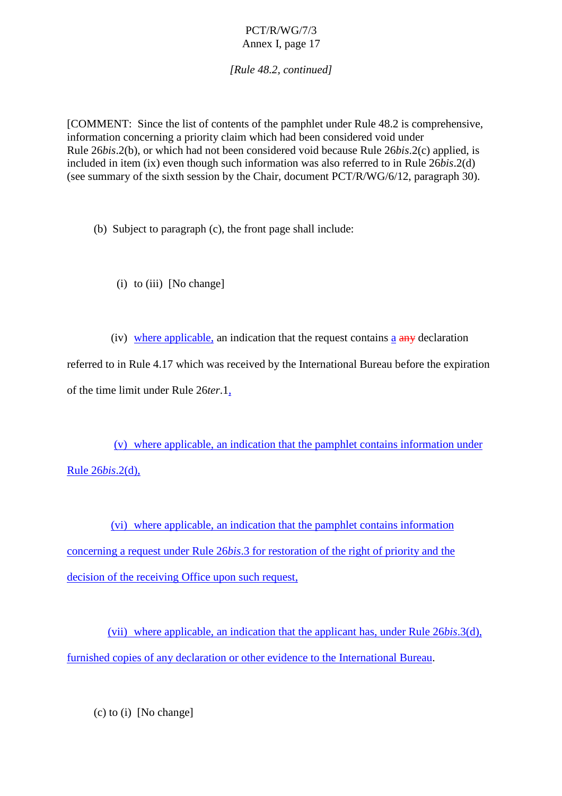*[Rule 48.2, continued]*

[COMMENT:Since the list of contents of the pamphlet under Rule 48.2 is comprehensive, information concerning a priority cla im which had been considered void under Rule 26*bis*.2(b), or which had not been considered void because Rule 26*bis*.2(c) applied, is included in item (ix) even though such information was also referred to in Rule 26 *bis.*2(d) (see summary of the sixth session by the Chair, document PCT/R/WG/6/12, paragraph 30).

(b) Subject to paragraph  $(c)$ , the front page shall include:

(i) to (iii) [No change]

(iv) where applicable, an indication that the request contains a  $a$  any declaration referred to in Rule 4.17 which w as received by the International Bureau before the expiration of the time limit under Rule 26 *ter*.1,

 $(v)$  where applicable, an indication that the pamphlet contains information under Rule 26*bis*.2(d),

(vi) where applicable, an indication that the pamphlet c ontains information concerning a request under Rule 26*bis*.3 for restoration of the right of priority and the decision of the receiving Office upon such request,

(vii) where applicable, an indication that the applicant has, under Rule 26*bis*.3(d), furnished copies of any declaration or other evidence to the International Bureau .

 $(c)$  to  $(i)$  [No change]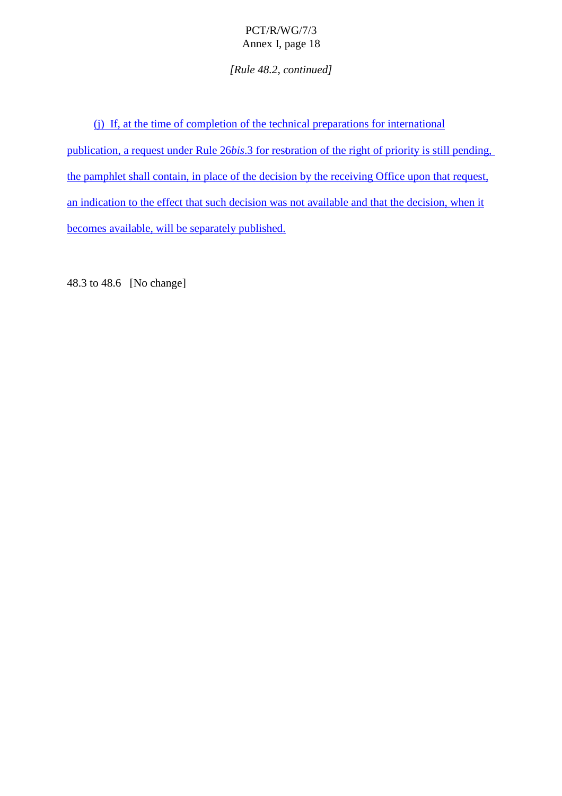*[Rule 48.2, continued]*

(i) If, at the time of completion of the technical preparations for international publication, are quest under Rule 26*bis*.3 for restoration of the right of priority is still pending, the pamphletshall contain, in place of the decision by the receiving Office upon that request, anindication to the effect that such decision was not available and that the decision, when it becomes avail able, will be separately published.

48.3to 48.6 [No change]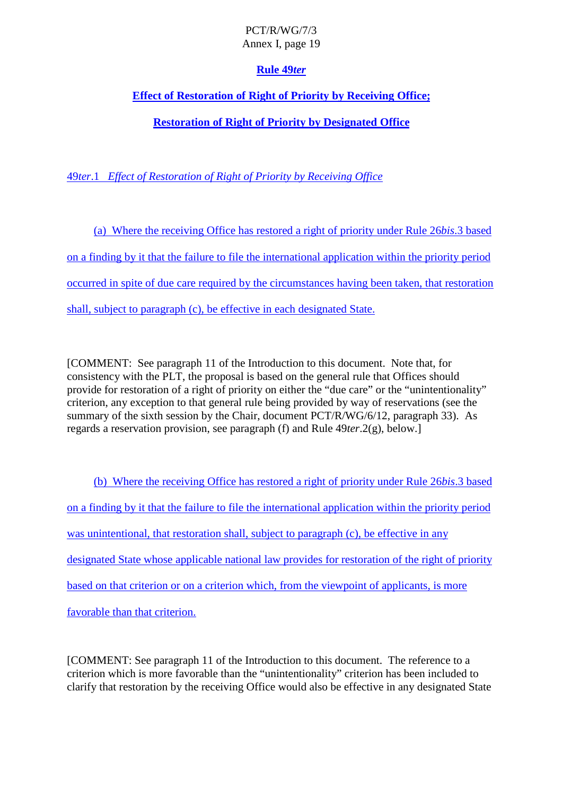# **Rule 49** *ter*

# **EffectofRestoration of Right of Priority by Receiving Office;**

# **Restoration of Right of Priority by Designated Office**

49*ter*.1 *Effect of Restoration of Right of Priority by Rece iving Office*

(a) Where the receiving Office has restored a right of priority under Rule 26*bis*.3 based on a finding by it that the failure to file the international application within the priority period occurred in spite of due care required by the circu mstances having been taken, that restoration  $shall, subject to paragraph (c), be effective in each designated State.$ 

[COMMENT: See paragraph 11 of the Introduction to this document. Note that, for consistency w ith the PLT, the proposal is based on the general rule that Offices should provide for restoration of a right of priority on either the "due care" or the "unintentionality" criterion, any exception to that general rule being provided by way of reservations (see the summary of the sixth session by the Chair, document PCT/R/WG/6/12, paragraph 33). As regards a reservation provision, see paragraph (f) and Rule  $49$ *ter*. 2(g), below.

(b) Where the receiving Office has restored a right of priority under Rule 26*bis*.3 based on a finding by it that the failure to file the international application within the priority period was unintentional, that restorationshall, subject to paragraph (c), be effective in any designated State whose applicable national law provides for restoration of the right of priority based on that criterion or on a criterion which, from the viewpoint of applicants, is more favorable than that criterion.

[COMMENT: See paragraph 11 of the Introduction to this document. The reference to a criterion which is more favorable than the "unintentionality" criterion has been included to clarify that restoration by the receiving Office would also be effective in any designated State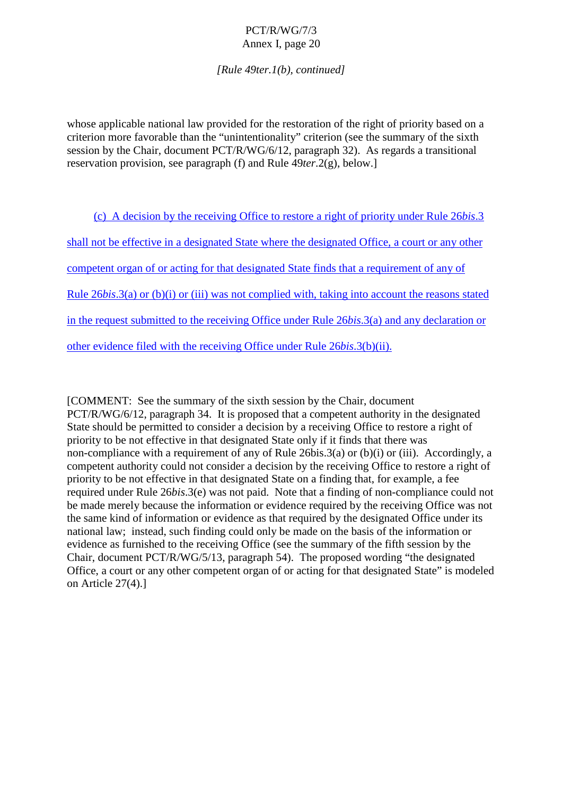*[Rule 49ter.1(b), continued]*

whose applicable national law provided for the restoration of the right of priority based on a criterion more favorable than the "unintentionality" criterion (see the summary of the sixth session by the Chair, document PCT/R/WG/6/12, paragraph 32). As re gards a transitional reservation provision, see paragraph (f) and Rule  $49$ ter.  $2(g)$ , below.

| (c) AdecisionbythereceivingOfficetorestorearightofpriorityunderRule<br>26bis.3                 |  |  |
|------------------------------------------------------------------------------------------------|--|--|
| shallnotbeeffectiveinadesignatedStatewherethedesignatedOffice,<br>acourtoranyother             |  |  |
| competentorganoforactingforthatdesignatedStatefindsthatarequirementofanyof                     |  |  |
| Rule $26bis.3(a)$ or $(b)(i)$ or $(iii)$ wasnotcompliedwith, takingintoaccountthereasonsstated |  |  |
| intherequestsubmittedtothereceivingOffice<br>underRule $26bis.3(a)$ andanydeclarationor        |  |  |
| otherevidencefiledwiththereceivingOfficeunderRule<br>$26bis.3(b)(ii)$ .                        |  |  |

[COMMENT:Seethe summary of the sixth session by the Chair, document PCT/R/WG/6/12, paragraph 34. It is proposed that a competent aut hority in the designated State should be permitted to consider a decision by a receiving Office to restore a right of priority to be not effective in that designated State only if it finds that there was non-compliance with a requirement of any of Rule  $26$ bis.  $3(a)$  or  $(b)(i)$  or  $(iii)$ . Accordingly, a competent authority could not consider a decision by the receiving Office to restore a right of priority to be note ffective in that designated State on a finding that, for example, a fee required under Rule 26*bis*.3(e) was not paid. Note that a finding of non-compliance could not be made merely because the information or evidence required by the receiving Office was not the same kind of information or evidence as that required by the designated Office under its national law; instead, such finding could only be made on the basis of the information or evidence as furnished to the receiving Office (see the summary of the fifth session by the  $Chair, document PCT/R/WG/5/13, paragraph 54). The proposed working "the de signed"$ Office, a court or any other competent organ of oracting for that designated State" is modeled on Article 27(4).]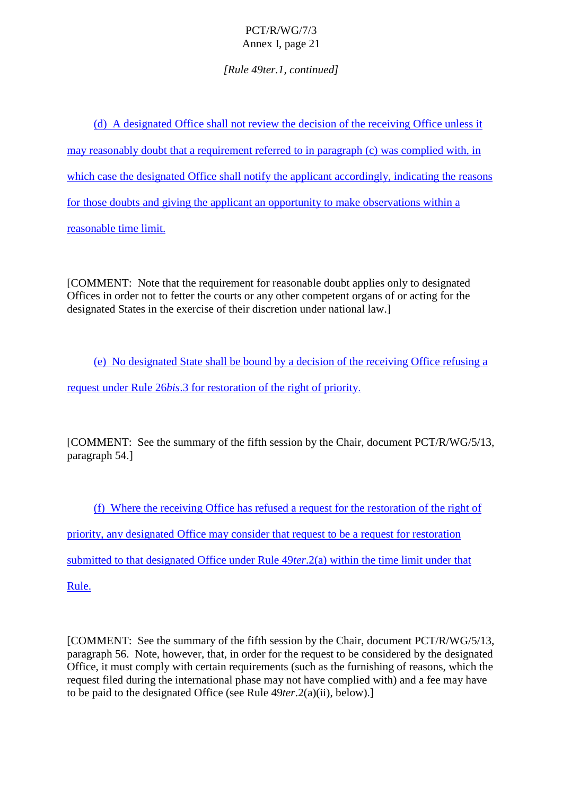*[Rule 49ter.1, continued]*

(d) A designated Office shall not review the decision of the receiving Office unless it  $may reasonably d - \text{subt} that are quirement referred to in paragraph (c) was complicated with, in$ which case the designated Office shall notify the applicant accordingly, indicating the reasons for those doubts and giving the applicant an opportunity to make observations within a law reasonable time limit.

[COMMENT:Note that the requirement for reasonable doubt applies only to designated Offices in order not to fetter the courts or any other competent organs of oracting for the designated States in the exercise of their discretion under national law.

(e) Nodesignated Stateshall be bound by a decision of the receiving Office refusing a request under Rule 26*bis*.3 for restoration of the right of priority.

[COMMENT: See the summary of the fifth session by the Chair, document PCT/ R/WG/5/13, paragraph 54.]

(f) Where the receiving Office has refused a request for the restoration of the right of priority, any designated Office may consider that request to be a request for restoration submitted to that designated Office under Rule 49*ter*.2(a) within the time limit under that Rule.

[COMMENT: Seethe summary of the fifth session by the Chair, document PCT/R/WG/5/13, paragraph 56. Note, however, that, in order for the request to be considered by the designated Office, it must comply wit heertain requirements (such as the furnishing of reasons, which the request filed during the international phase may not have complied with) and a fee may have to be paid to the designated Office (see Rule  $49$ ter.2(a)(ii), below).]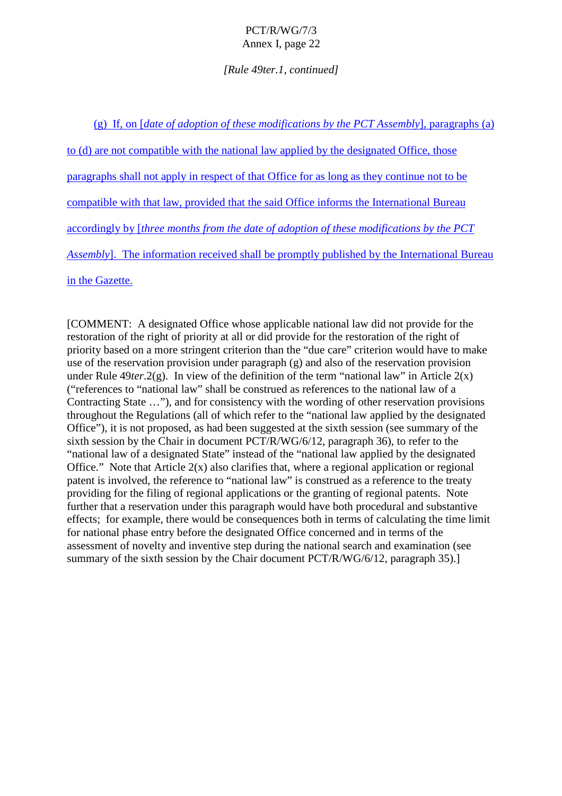*[Rule 49ter.1, continued ]*

(g) If, on [ *date of adoption of the sempodifications by the PCTAssembly* ], paragraphs (a) to (d) are not compatible with the national law applied by the designated Office, those paragraphs shall not apply in respect of that Office for as long as they community of the numerot to be compatible with that law, provided that the said Office informs the International Bureau accordingly by [ *three months from the date of adoption of these modifications by the PCT Assembly*]. The information received shall be promptly publis hed by the International Bureau

in the Gazette.

[COMMENT: A designated Office whose applicable national law did not provide for the restoration of the right of priority at all ordid provide for the restoration of the right of priority based on a more strain general ingent criterion than the "due care" criterion would have to make use of the reservation provision under paragraph (g) and also of the reservation provision under Rule 49*ter*. 2(g). Inview of the definition of the term "national law" in Article 2(x) ("references to "national law" shall be construed as references to the national law of a Contracting State ..."), and for consistency with the wording of other reservation provisions throughout the Regulations (all of which refer to the "national law applied by the edesignated Office"), it is not proposed, as had been suggested at the sixth session (see summary of the sixth session by the Chair indocument PCT/R/WG/6/12, paragraph 36), to refer to the "national law of a designated State" instead of the "national law applied by the designated Office." Note that Article  $2(x)$  also clarifies that, where a regional application or regional patentis involved, the reference to "national law" is construed as a reference to the treaty providing for the filing of regional app lications or the granting of regional patents. Note further that are servation under this paragraph would have both procedural and substantive effects; for example, there would be consequences both in terms of calculating the time limit for national phas eentry before the designated Office concerned and in terms of the assessment of novelty and inventive step during the national search and examination (see summary of the sixth session by the Chaird ocument PCT/R/WG/6/12, paragraph 35).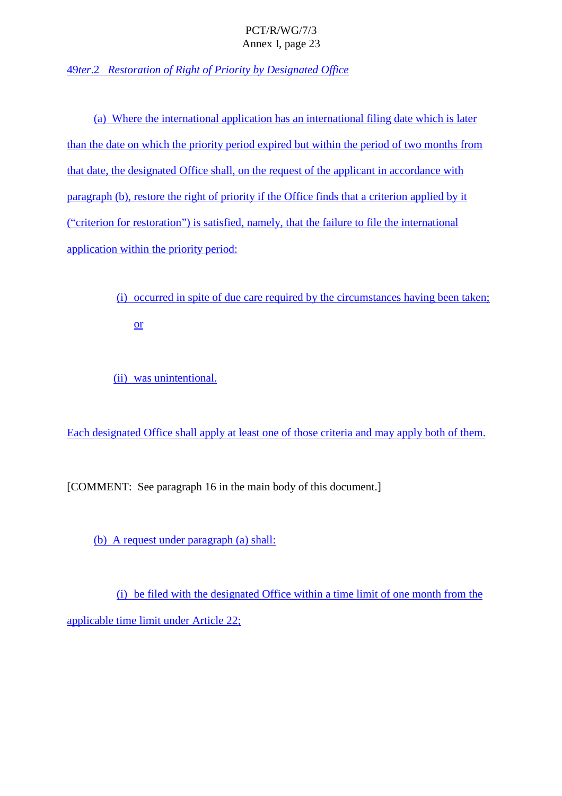49*ter*.2 *Restoration of Right of Priority by Designated Office*

(a) Where the international application has an international filing date which is later than the date on which the priority period expired but within the period of two months from that date, the designated O ffice shall, on the request of the applicant in accordance with paragraph(b), restore the right of priority if the Office finds that a criterion applied by it ("criterion for restoration") is satisfied, namely, that the failure to file the international application within the priority period:

> (i) occurred in spite of due care required by the circumstances having been taken; or

(ii) was unintentional.

Eachdesignated Officeshall apply at least one of those criteria and may apply both of them.

[COMMENT:Seeparagraph 16inthemainbody of this document.]

(b) A request under paragraph  $(a)$  shall:

(i) be filed with the designated Office within a time limit of one month from the  $applicable time limit under Art   icle 22;$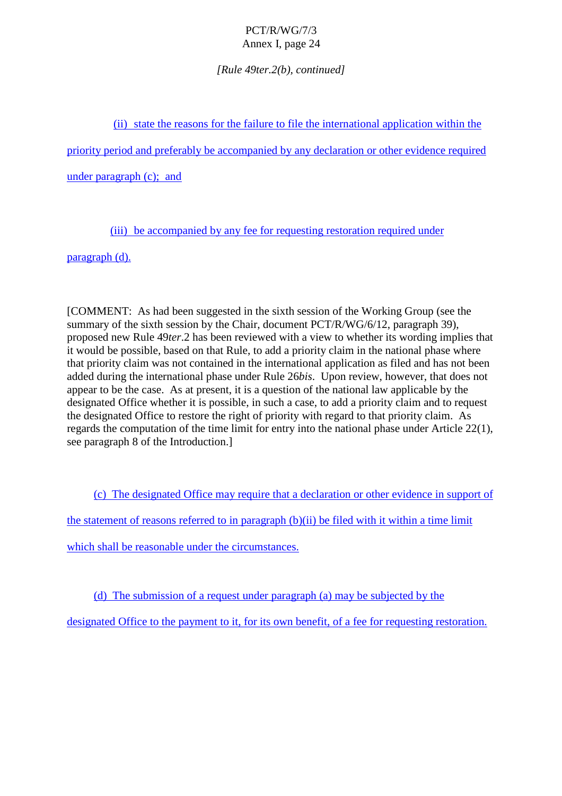*[Rule 49ter.2(b), continued]*

(ii) state the reasons for the failure to file the international application within the

priority period and preferably be accompanied by any declaration or other evidence required

 $under paragraph(c);$  and

(iii) be a ccompanied by any fee for requesting restoration required under

paragraph (d).

[COMMENT: As had been suggested in the sixth session of the Working Group (see the summary of the sixth session by the Chair, document PCT/R/WG/6/12, paragraph 39), proposedne wRule 49*ter*.2has been reviewed with a view to whether its wording implies that it would be possible, based on that Rule, to add a priority claim in the national phase where that priority claim was not contained in the international applications filed a nd has not been added during the international phase under Rule 26*bis*. Upon review, however, that does not appeartobethecase. As at present, it is a question of the national law applicable by the designated Office whether it is possible, in such a ca se, to add a priority claim and to request the designated Office to restore the right of priority with regard to that priority claim. As regards the computation of the time limit for entry into the national phase under Article 22(1), see paragraph 8 of the Introduction.

(c) The designated Office may require that a declaration or other evidence in support of the statement of reasons referred to in paragraph (b)(ii) be filed with it within a time limit which sha ll be reasonable under the circumstances.

 $(d)$  The submission of a request under paragraph  $(a)$  may be subjected by the

designated Office to the payment to it, for its own benefit, of a fee for requesting restoration.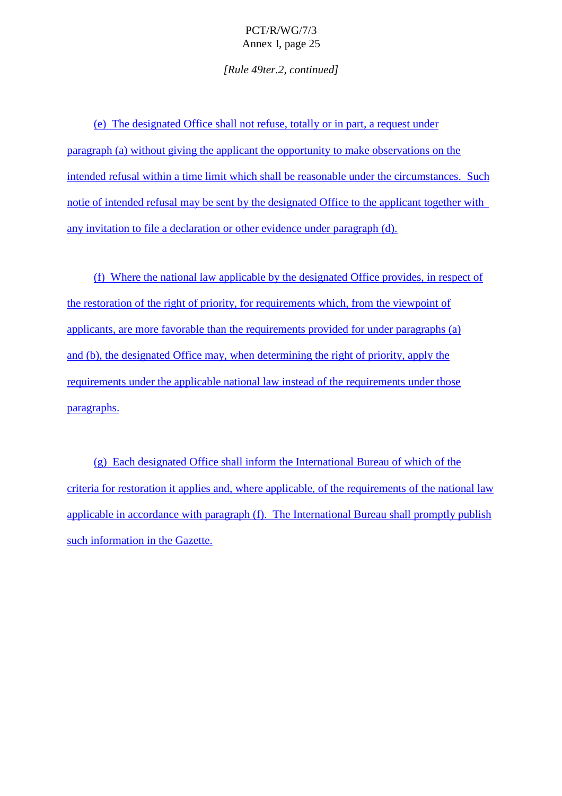*[Rule 49ter.2, continued]*

(e) The de signated Office shall not refuse, totally or in part, a request under paragraph (a) without giving the applicant the opportunity to make observations on the intended refusal within a time limit which shall be reasonable under the circumstances. Such notice of intended refusal may be sent by the designated Office to the applicant together with  $anyinvitation to file a declaration or other evidence under paragraph(d).$ 

(f) Where the national law applicable by the designated Office provides, in respect of the restoration of the right of priority, for requirements which, from the viewpoint of applicants, are more favorable than the requirements provided for under paragraphs (a) and (b), the designated Office may, when determining the right of priority, apply the requirements under the applicable national law instead of the requirements under those paragraphs.

 $(g)$  Each designated Offices hall inform the International Bureau of which of the criteria for restoration it applies and, where applicable, of the requestion irements of the national law applicable in accordance with paragraph (f). The International Bureau shall promptly publish such information in the Gazette.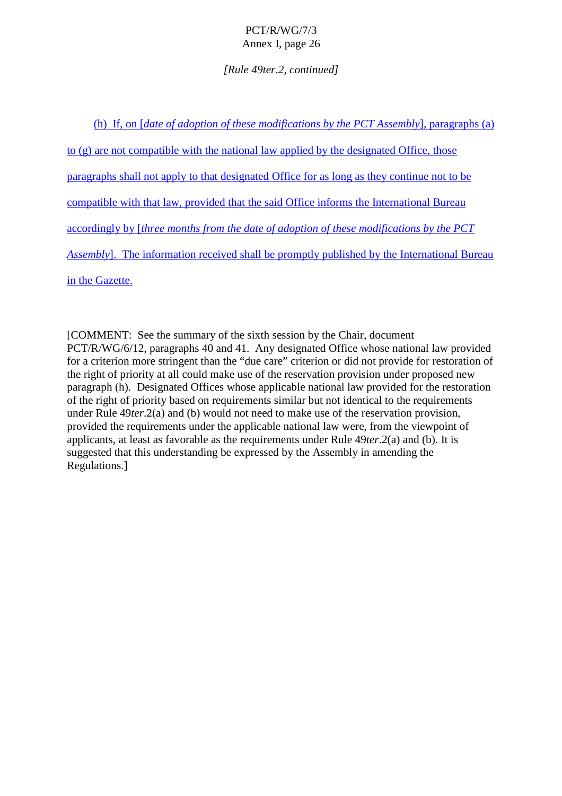### *[Rule 49ter.2, continued]*

(h) If, on [ *date of adoption of the semodifications by the PCTAssembly* ], paragraphs (a)  $to (g)$  are not compatible with the national law applied by the designated Office, those paragraphs shall not apply to that designated Office for as long as they continue not to be compatible with that law, provided that the said Office inf orms the International Bureau accordingly by [*threemonths from the date of adoption of the semodifications by the PCT Assembly*]. The information received shall be promptly published by the International Bureau in the Gazette.

[COMMENT:Seethe summary o fthe sixth session by the Chair, document PCT/R/WG/6/12, paragraphs 40 and 41. Any designated Office whose national law provided for a criterion more stringent than the "due care" criterion or did not provide for restoration of the right of priority at a ll could make use of the reservation provision underproposed new paragraph (h). Designated Offices whose applicable national law provided for the restoration of the right of priority based on requirements similar but not identical to the requirements under Rule 49*ter*.2(a) and (b) would not need to make use of the reservation provision, provided the requirements under the applicable national law were, from the viewpoint of applicants, at least as favorable as the requirement sunder Rule  $49$ ter. 2(a) and (b) It is suggested that this understanding be expressed by the Assembly in amending the Regulations.]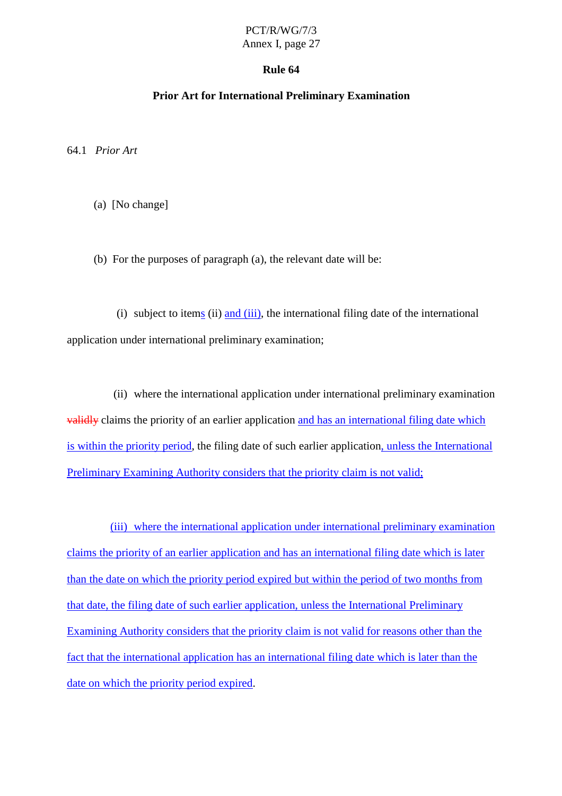### **Rule 64**

### **Prior Art for International Preliminary Examination**

64.1 *Prior Art*

(a) [Nochange]

(b) For the purposes of paragraph  $(a)$ , the relevant date will be:

(i) subject to item  $s(ii)$  and  $(iii)$ , the international filingulate of the international application under international preliminary examination;

(ii) where the international application under international preliminary examination validly claims the priority of an earlier application and has an international filing date which is within the priority period , the filing date of such earlier application , unless the International Preliminary Examining Authority considers that the priority claim is not valid;

(iii) where the international application under international preliminary examination claims the priority of an earlier application and has an international filing date which is later than the date on which the priority period expired but within the period of two months from that date, the filing date of such earlier application, unless the International Preliminary Examining Authority considers that the priority claim is not valid for reasons other than the fact that the international application has an international filing date which is later than the date on which the priority period expired .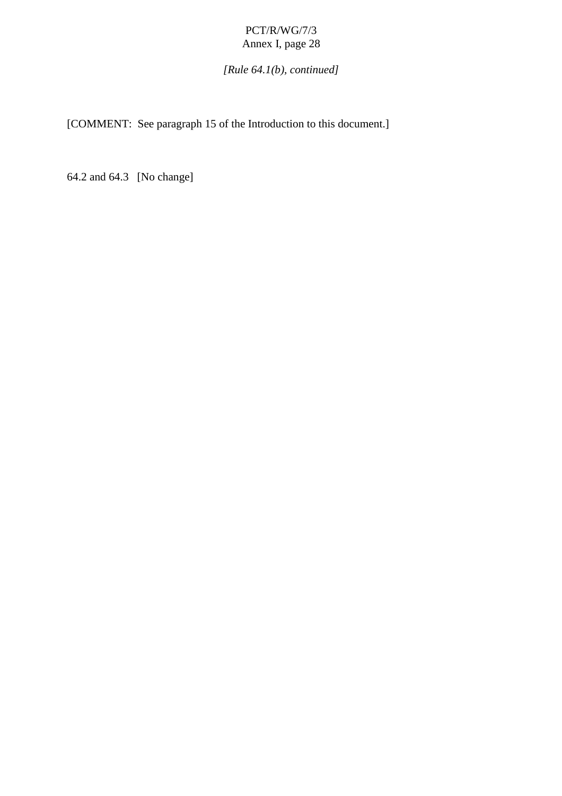# *[Rule 64.1(b), continued]*

[COMMENT:Seeparagraph 15 of the Introduction to this document.]

64.2 and 64.3 [No change]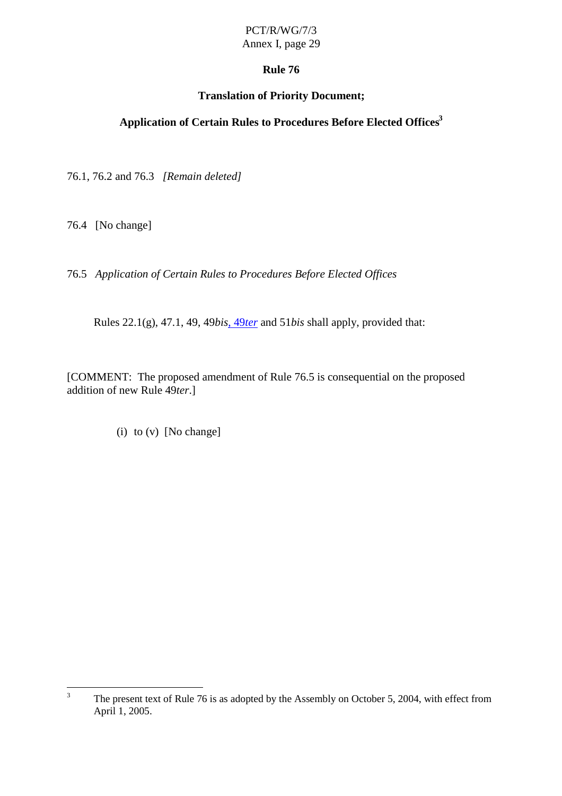### **Rule 76**

### **Translation of Priority Document;**

# **Application of Certain Rules to Procedures Before Elected Offices <sup>3</sup>**

76.1, 76.2 and 76.3 *[Remain deleted]*

76.4 [Nochange]

76.5 *Application of Certain Rules to Procedures Before Elected Offices*

Rules 22.1(g), 47.1, 49, 49 *bis*, 49 *ter* and 51 *bisshall apply*, provided that:

[COMMENT:The proposed amendment of Rule 76.5 is consequential on the proposed addition of new Rule 49 *ter*.]

(i)  $to (v)$  [No change]

<sup>&</sup>lt;sup>3</sup> The present text of Rule 76 is as adopted by the Assembly on October 5, 2004, with effect from April 1, 2005.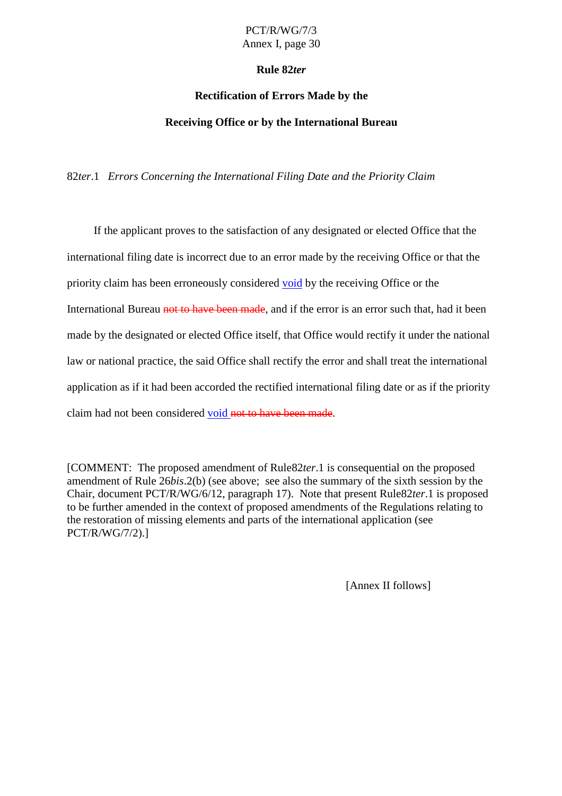### **Rule 82** *ter*

#### **Rectification of Errors Made by the**

### **Receiving Office or by the International Bureau**

82*ter*.1 *Errors Concerning the International Filing Date and the Priority Claim*

If the applicant proves to the satisfaction of any designated or elected Office that the international filing date is incorre ctdue to an error made by the receiving Office or that the priority claim has been erroneously considered void by the receiving Office or the International Bureau notto have been made -, and if the error is an error such that, had it been made by the designated or elected Office itself, that Office would rectify it under the national law ornational practice, the said Office shall rectify the error and shall treat the international application as if it had been accorded the rectified international filing da teorasif the priority claimhad not been considered void not to have been made -.

[COMMENT:The proposed amendment of Rule 82 *ter*.1 is consequential on the proposed amendment of Rule 26*bis*.2(b) (see above; see also the summary of the sixth session by the Chair, document PCT/R/WG/6/12, paragraph 17). Note that present Rule82 *ter*. 1 is proposed to be further amended in the context of proposed amendments of the Regulations relating to the restoration of missing elements and parts of the international application (see PCT/R/WG/7/2).]

[Annex II follows]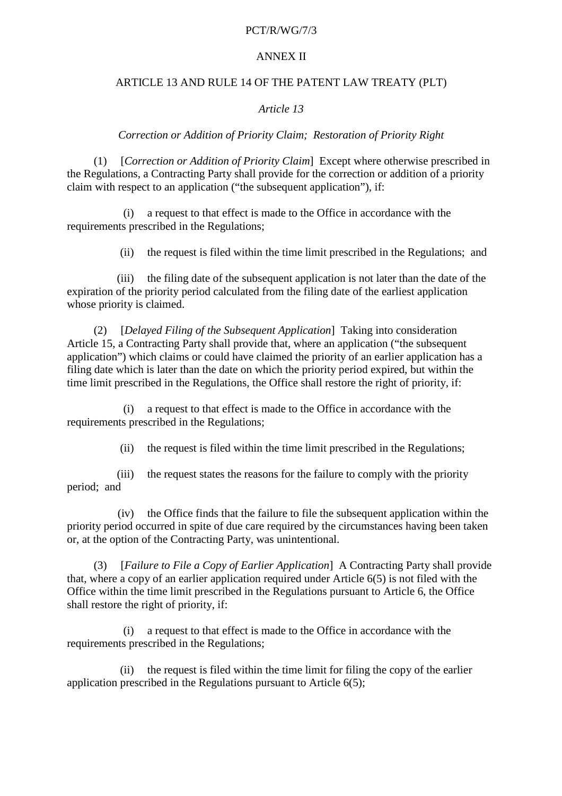#### PCT/R/WG/7/3

#### **ANNEXII**

#### ARTICLE13ANDRULE14OFTHEPATENTLAWTREATY(PLT)

### *Article 13*

#### *Correction or Addition of Priority Claim; Restoration of Priority Right*

(1) [*Correction or Addition of Priority Claim* ] Except where otherwise prescribed in the Regulations, a Contracting Party shall provide for the correction or addition of a priority claim with respect to an application ("the subsequent application"), if:

(i) a request to that effect is made to the Office in accordance with the requirements prescribed in the Regulations;

(ii) the request is filed within the time limit prescribed in the Regulations; and

(iii) the filing date of the subsequent application is not later than the date of the expiration of the priority period calculated from the filing date of the earliest application whose priority is claimed.

(2) [*Delayed Filing of the Subsequent Application* ] Taking into consideration Article 15, a Contracting Party shall provide that, where an application ("the subsequent application") which claims or could have claimed the priority of an earlier application has a filing date which is later than the date on which the priority period expired, but within the time limit prescribed in the Regulations, the Office shall restore the right of priority, if:

(i) a request to that effect is made to the Office in accordance with the requirements prescribed in the Regulations;

(ii) the request is filed within the time limit prescribed in the Regulations;

(iii) the request states the reasons for the failure to comply with the priority period; and

(iv) the Office finds that the failure to file the subsequent application within the priority period occurred in spite of due care required by the circumstances having been taken or, at the option of the Contracting Party, was unintentional.

(3) [*FailuretoFileaCopyofEarlierApplication* ] A Contracting Party shall provide that, where a copy of an earlier application required under Article 6(5) is not filed with the Office within the time limit prescribed in the Regulation spursuant to Article 6, the Office shall restore the right of priority, if:

(i) a request to that effect is made to the Office in accordance with the requirements prescribed in the Regulations;

(ii) the request is filed within the time limit for filing the copy of the earlier application prescribed in the Regulation spursuant to Article  $6(5)$ ;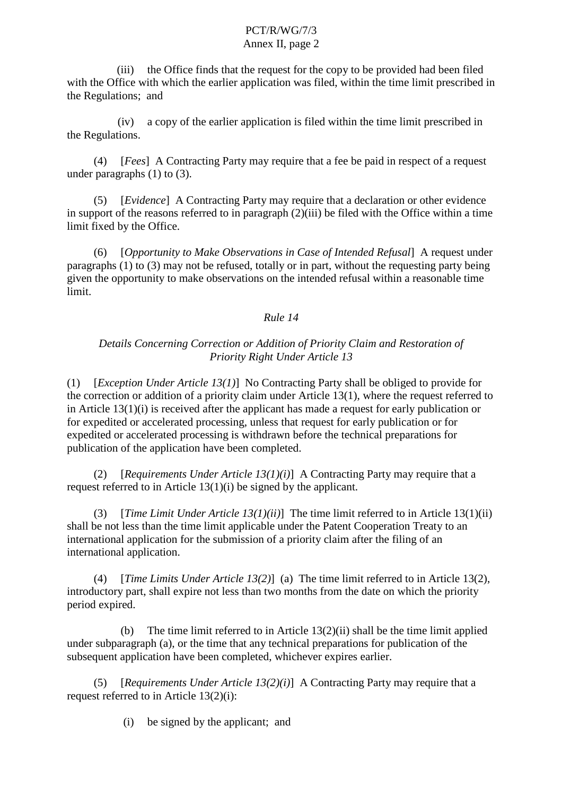(iii) the Office finds that the request for the copy to be provided had been filed with the Office with which the earli erapplication was filed, with in the time limit prescribed in the Regulations; and

(iv) acopy of the earlier application is filed within the time limit prescribed in the Regulations.

(4) [*Fees*] A Contracting Party may require that a fee be paid in respect of a request under paragraphs  $(1)$  to  $(3)$ .

(5) [*Evidence*] A Contracting Party may require that a declaration or other evidence  $inv$  in support of the reasons referred to inparagraph  $(2)(iii)$  be filed with the Office within a time limit fixed by the O ffice.

(6) [*Opportunity to Make Observations in Case of Intended Refusal* ] A request under  $paragnbs(1) to (3) may not be refused, totally or in part, without the request ingparty being$ given the opportunity to make observations on the intended refusal within a reasonable time limit.

## *Rule 14*

### *Details Concerning Correction or Addition of Priority Claim and Restoration of Priority Right Under Article 13*

(1) [*Exception Under Article 13(1)* ] No Contracting Party shall be obliged to provide for the correct ion or addition of a priority claim under Article 13(1), where the request referred to in Article 13(1)(i) is received after the applicant has made a request for early publication or for expedited or accelerated processing, unless that request for early pu blication or for expedited or accelerated processing is withdrawn before the technical preparations for publication of the application have been completed.

(2) [*Requirements Under Article 13(1)(i)* ] A Contracting Party may require that a request referred to in Article  $13(1)(i)$  be signed by the applicant.

(3) [*Time Limit Under Article 13(1)(ii)* ] The time limit referred to in Article 13(1)(ii) shall be not less than the time limit applicable under the Patent Cooperation Treaty to an international applica tion for the submission of a priority claim after the filing of an international application.

(4) [*Time Limits Under Article 13(2)* ] (a) The time limit referred to in Article 13(2), introductory part, shall expire not less than two months from the date on which the priority period expired.

 $(b)$  The time limit referred to in Article 13(2)(ii) shall be the time limit applied  $under subparagnh(a)$ , or the time that any technical preparations for publication of the subsequent application have been complet ed, whichever expires earlier.

(5) [*Requirements Under Article 13(2)(i)* ] A Contracting Party may require that a request referred to in Article 13(2)(i):

(i) besigned by the applicant; and